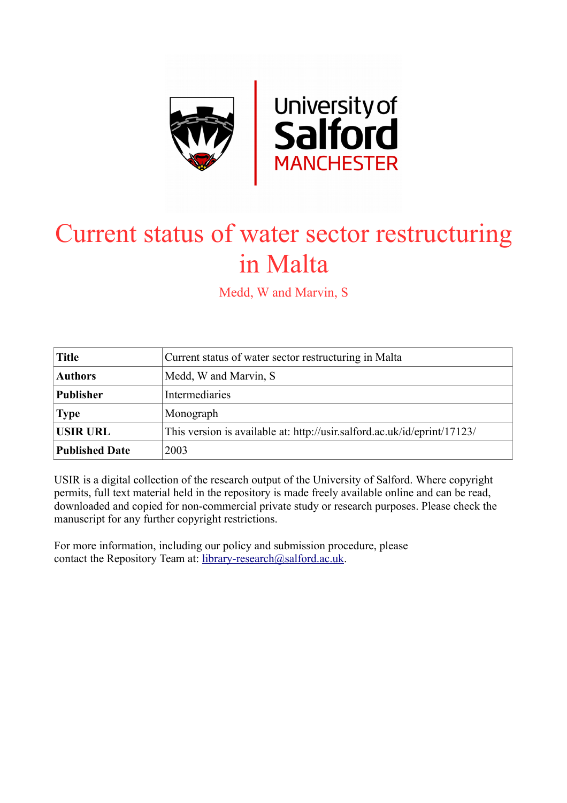

# Current status of water sector restructuring in Malta

Medd, W and Marvin, S

| <b>Title</b>          | Current status of water sector restructuring in Malta                    |
|-----------------------|--------------------------------------------------------------------------|
| <b>Authors</b>        | Medd, W and Marvin, S                                                    |
| <b>Publisher</b>      | Intermediaries                                                           |
| <b>Type</b>           | Monograph                                                                |
| <b>USIR URL</b>       | This version is available at: http://usir.salford.ac.uk/id/eprint/17123/ |
| <b>Published Date</b> | 2003                                                                     |

USIR is a digital collection of the research output of the University of Salford. Where copyright permits, full text material held in the repository is made freely available online and can be read, downloaded and copied for non-commercial private study or research purposes. Please check the manuscript for any further copyright restrictions.

For more information, including our policy and submission procedure, please contact the Repository Team at: [library-research@salford.ac.uk.](mailto:library-research@salford.ac.uk)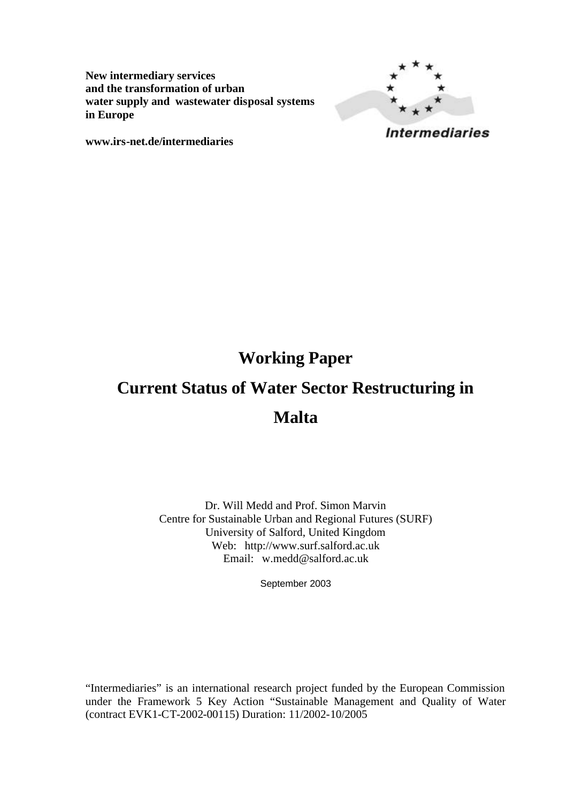**New intermediary services and the transformation of urban water supply and wastewater disposal systems in Europe**



**www.irs-net.de/intermediaries**

## **Working Paper**

# **Current Status of Water Sector Restructuring in Malta**

Dr. Will Medd and Prof. Simon Marvin Centre for Sustainable Urban and Regional Futures (SURF) University of Salford, United Kingdom Web: http://www.surf.salford.ac.uk Email: w.medd@salford.ac.uk

September 2003

"Intermediaries" is an international research project funded by the European Commission under the Framework 5 Key Action "Sustainable Management and Quality of Water (contract EVK1-CT-2002-00115) Duration: 11/2002-10/2005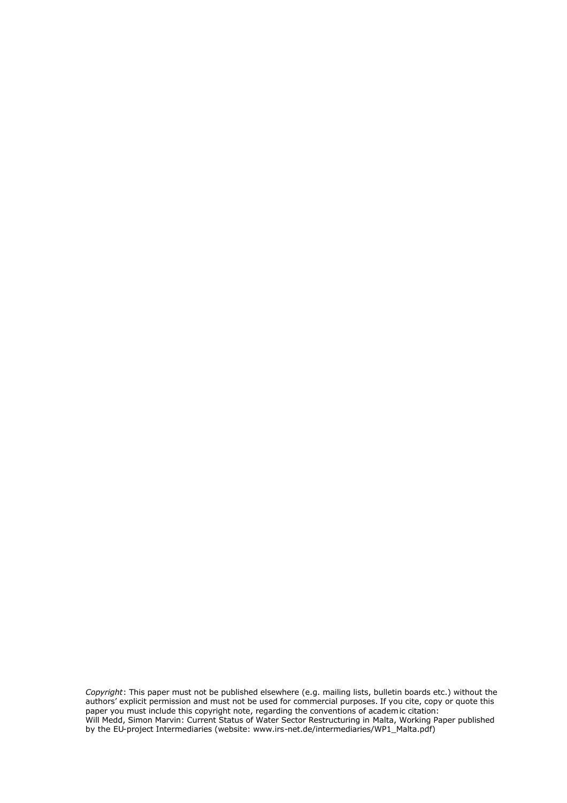*Copyright*: This paper must not be published elsewhere (e.g. mailing lists, bulletin boards etc.) without the authors' explicit permission and must not be used for commercial purposes. If you cite, copy or quote this paper you must include this copyright note, regarding the conventions of academic citation: Will Medd, Simon Marvin: Current Status of Water Sector Restructuring in Malta, Working Paper published by the EU-project Intermediaries (website: www.irs-net.de/intermediaries/WP1\_Malta.pdf)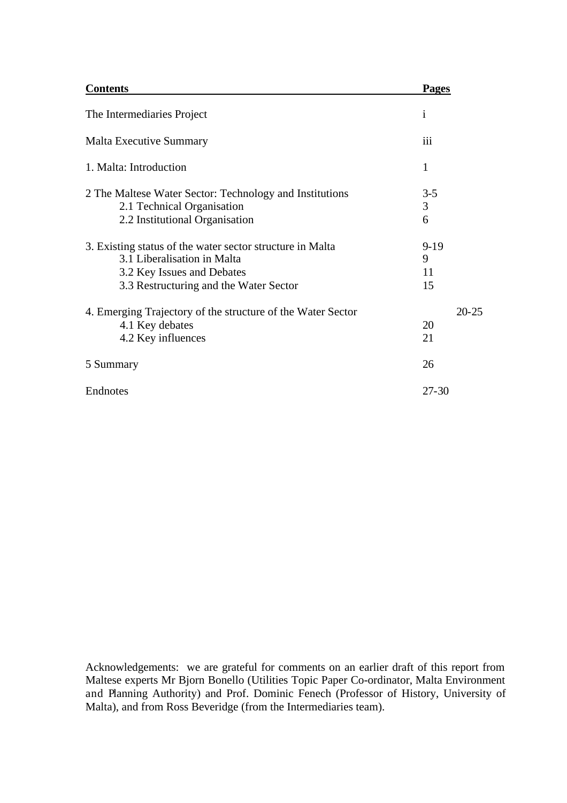| <b>Contents</b>                                                                                                                                                  | <b>Pages</b>            |
|------------------------------------------------------------------------------------------------------------------------------------------------------------------|-------------------------|
| The Intermediaries Project                                                                                                                                       | $\mathbf{i}$            |
| <b>Malta Executive Summary</b>                                                                                                                                   | iii                     |
| 1. Malta: Introduction                                                                                                                                           | 1                       |
| 2 The Maltese Water Sector: Technology and Institutions<br>2.1 Technical Organisation<br>2.2 Institutional Organisation                                          | $3 - 5$<br>3<br>6       |
| 3. Existing status of the water sector structure in Malta<br>3.1 Liberalisation in Malta<br>3.2 Key Issues and Debates<br>3.3 Restructuring and the Water Sector | $9-19$<br>9<br>11<br>15 |
| 4. Emerging Trajectory of the structure of the Water Sector<br>4.1 Key debates<br>4.2 Key influences                                                             | $20 - 25$<br>20<br>21   |
| 5 Summary                                                                                                                                                        | 26                      |
| Endnotes                                                                                                                                                         | 27-30                   |

Acknowledgements: we are grateful for comments on an earlier draft of this report from Maltese experts Mr Bjorn Bonello (Utilities Topic Paper Co-ordinator, Malta Environment and Planning Authority) and Prof. Dominic Fenech (Professor of History, University of Malta), and from Ross Beveridge (from the Intermediaries team).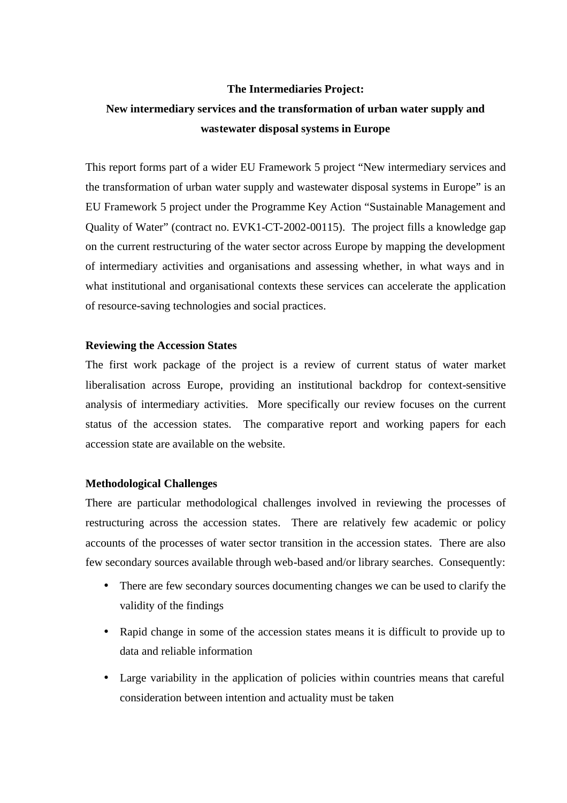### **The Intermediaries Project:**

### **New intermediary services and the transformation of urban water supply and wastewater disposal systems in Europe**

This report forms part of a wider EU Framework 5 project "New intermediary services and the transformation of urban water supply and wastewater disposal systems in Europe" is an EU Framework 5 project under the Programme Key Action "Sustainable Management and Quality of Water" (contract no. EVK1-CT-2002-00115). The project fills a knowledge gap on the current restructuring of the water sector across Europe by mapping the development of intermediary activities and organisations and assessing whether, in what ways and in what institutional and organisational contexts these services can accelerate the application of resource-saving technologies and social practices.

### **Reviewing the Accession States**

The first work package of the project is a review of current status of water market liberalisation across Europe, providing an institutional backdrop for context-sensitive analysis of intermediary activities. More specifically our review focuses on the current status of the accession states. The comparative report and working papers for each accession state are available on the website.

### **Methodological Challenges**

There are particular methodological challenges involved in reviewing the processes of restructuring across the accession states. There are relatively few academic or policy accounts of the processes of water sector transition in the accession states. There are also few secondary sources available through web-based and/or library searches. Consequently:

- There are few secondary sources documenting changes we can be used to clarify the validity of the findings
- Rapid change in some of the accession states means it is difficult to provide up to data and reliable information
- Large variability in the application of policies within countries means that careful consideration between intention and actuality must be taken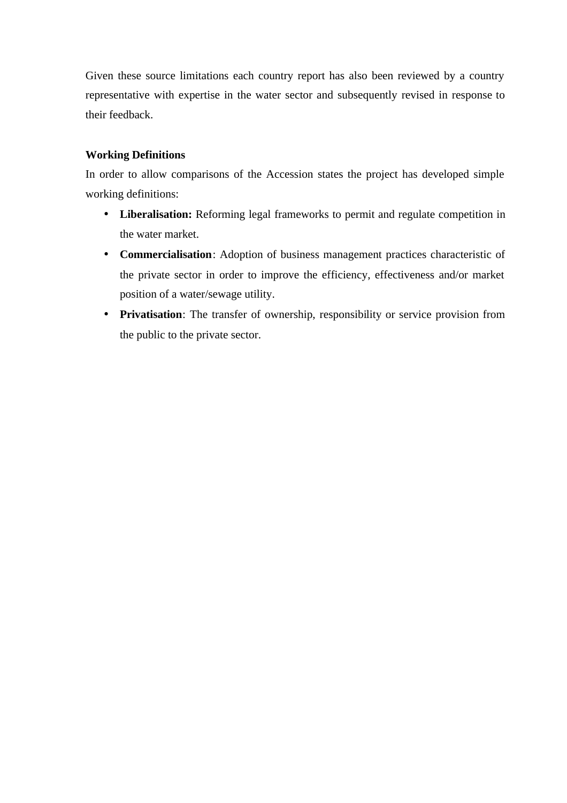Given these source limitations each country report has also been reviewed by a country representative with expertise in the water sector and subsequently revised in response to their feedback.

### **Working Definitions**

In order to allow comparisons of the Accession states the project has developed simple working definitions:

- Liberalisation: Reforming legal frameworks to permit and regulate competition in the water market.
- **Commercialisation**: Adoption of business management practices characteristic of the private sector in order to improve the efficiency, effectiveness and/or market position of a water/sewage utility.
- **Privatisation**: The transfer of ownership, responsibility or service provision from the public to the private sector.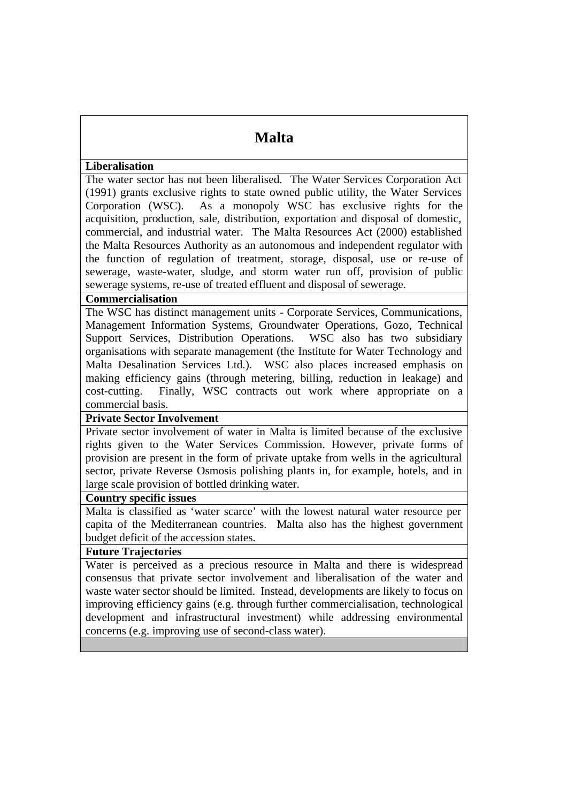### **Malta**

### **Liberalisation**

The water sector has not been liberalised. The Water Services Corporation Act (1991) grants exclusive rights to state owned public utility, the Water Services Corporation (WSC). As a monopoly WSC has exclusive rights for the acquisition, production, sale, distribution, exportation and disposal of domestic, commercial, and industrial water. The Malta Resources Act (2000) established the Malta Resources Authority as an autonomous and independent regulator with the function of regulation of treatment, storage, disposal, use or re-use of sewerage, waste-water, sludge, and storm water run off, provision of public sewerage systems, re-use of treated effluent and disposal of sewerage.

### **Commercialisation**

The WSC has distinct management units - Corporate Services, Communications, Management Information Systems, Groundwater Operations, Gozo, Technical Support Services, Distribution Operations. WSC also has two subsidiary organisations with separate management (the Institute for Water Technology and Malta Desalination Services Ltd.). WSC also places increased emphasis on making efficiency gains (through metering, billing, reduction in leakage) and cost-cutting. Finally, WSC contracts out work where appropriate on a commercial basis.

### **Private Sector Involvement**

Private sector involvement of water in Malta is limited because of the exclusive rights given to the Water Services Commission. However, private forms of provision are present in the form of private uptake from wells in the agricultural sector, private Reverse Osmosis polishing plants in, for example, hotels, and in large scale provision of bottled drinking water.

### **Country specific issues**

Malta is classified as 'water scarce' with the lowest natural water resource per capita of the Mediterranean countries. Malta also has the highest government budget deficit of the accession states.

### **Future Trajectories**

Water is perceived as a precious resource in Malta and there is widespread consensus that private sector involvement and liberalisation of the water and waste water sector should be limited. Instead, developments are likely to focus on improving efficiency gains (e.g. through further commercialisation, technological development and infrastructural investment) while addressing environmental concerns (e.g. improving use of second-class water).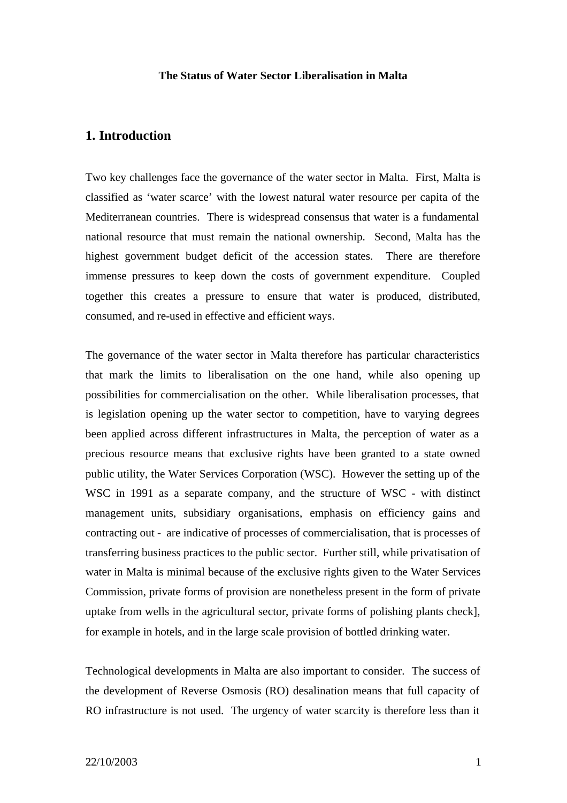### **The Status of Water Sector Liberalisation in Malta**

### **1. Introduction**

Two key challenges face the governance of the water sector in Malta. First, Malta is classified as 'water scarce' with the lowest natural water resource per capita of the Mediterranean countries. There is widespread consensus that water is a fundamental national resource that must remain the national ownership. Second, Malta has the highest government budget deficit of the accession states. There are therefore immense pressures to keep down the costs of government expenditure. Coupled together this creates a pressure to ensure that water is produced, distributed, consumed, and re-used in effective and efficient ways.

The governance of the water sector in Malta therefore has particular characteristics that mark the limits to liberalisation on the one hand, while also opening up possibilities for commercialisation on the other. While liberalisation processes, that is legislation opening up the water sector to competition, have to varying degrees been applied across different infrastructures in Malta, the perception of water as a precious resource means that exclusive rights have been granted to a state owned public utility, the Water Services Corporation (WSC). However the setting up of the WSC in 1991 as a separate company, and the structure of WSC - with distinct management units, subsidiary organisations, emphasis on efficiency gains and contracting out - are indicative of processes of commercialisation, that is processes of transferring business practices to the public sector. Further still, while privatisation of water in Malta is minimal because of the exclusive rights given to the Water Services Commission, private forms of provision are nonetheless present in the form of private uptake from wells in the agricultural sector, private forms of polishing plants check], for example in hotels, and in the large scale provision of bottled drinking water.

Technological developments in Malta are also important to consider. The success of the development of Reverse Osmosis (RO) desalination means that full capacity of RO infrastructure is not used. The urgency of water scarcity is therefore less than it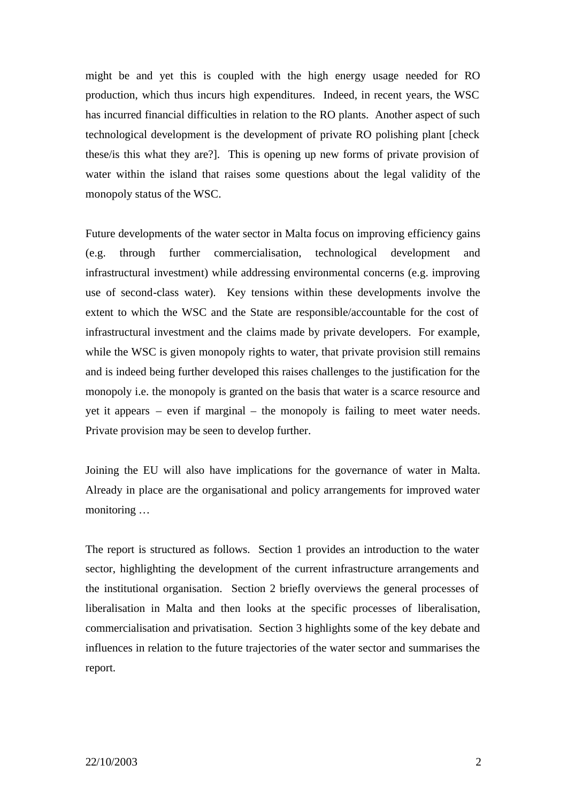might be and yet this is coupled with the high energy usage needed for RO production, which thus incurs high expenditures. Indeed, in recent years, the WSC has incurred financial difficulties in relation to the RO plants. Another aspect of such technological development is the development of private RO polishing plant [check these/is this what they are?]. This is opening up new forms of private provision of water within the island that raises some questions about the legal validity of the monopoly status of the WSC.

Future developments of the water sector in Malta focus on improving efficiency gains (e.g. through further commercialisation, technological development and infrastructural investment) while addressing environmental concerns (e.g. improving use of second-class water). Key tensions within these developments involve the extent to which the WSC and the State are responsible/accountable for the cost of infrastructural investment and the claims made by private developers. For example, while the WSC is given monopoly rights to water, that private provision still remains and is indeed being further developed this raises challenges to the justification for the monopoly i.e. the monopoly is granted on the basis that water is a scarce resource and yet it appears – even if marginal – the monopoly is failing to meet water needs. Private provision may be seen to develop further.

Joining the EU will also have implications for the governance of water in Malta. Already in place are the organisational and policy arrangements for improved water monitoring …

The report is structured as follows. Section 1 provides an introduction to the water sector, highlighting the development of the current infrastructure arrangements and the institutional organisation. Section 2 briefly overviews the general processes of liberalisation in Malta and then looks at the specific processes of liberalisation, commercialisation and privatisation. Section 3 highlights some of the key debate and influences in relation to the future trajectories of the water sector and summarises the report.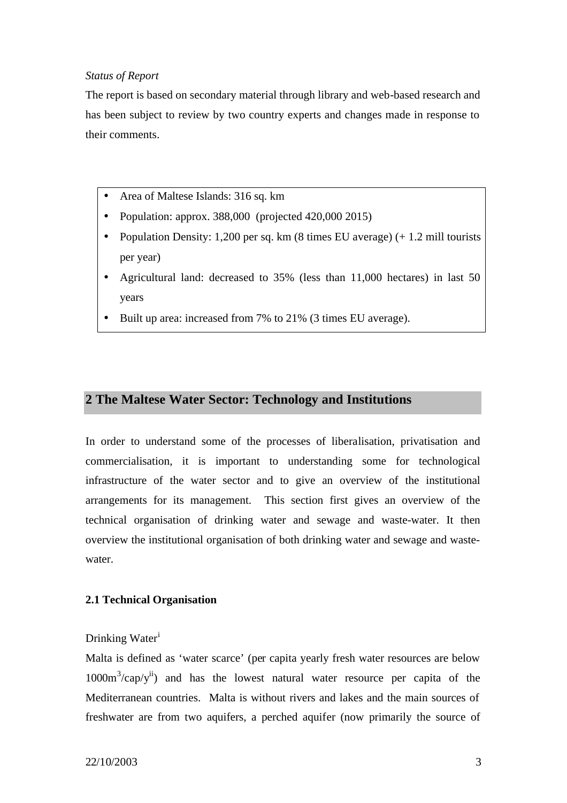### *Status of Report*

The report is based on secondary material through library and web-based research and has been subject to review by two country experts and changes made in response to their comments.

- Area of Maltese Islands: 316 sq. km
- Population: approx. 388,000 (projected 420,000 2015)
- Population Density: 1,200 per sq. km  $(8 \text{ times EU average}) (+ 1.2 \text{ mill tourist})$ per year)
- Agricultural land: decreased to 35% (less than 11,000 hectares) in last 50 years
- Built up area: increased from 7% to 21% (3 times EU average).

### **2 The Maltese Water Sector: Technology and Institutions**

In order to understand some of the processes of liberalisation, privatisation and commercialisation, it is important to understanding some for technological infrastructure of the water sector and to give an overview of the institutional arrangements for its management. This section first gives an overview of the technical organisation of drinking water and sewage and waste-water. It then overview the institutional organisation of both drinking water and sewage and wastewater.

### **2.1 Technical Organisation**

### Drinking Water<sup>i</sup>

Malta is defined as 'water scarce' (per capita yearly fresh water resources are below  $1000m<sup>3</sup>/cap/y<sup>ii</sup>$  and has the lowest natural water resource per capita of the Mediterranean countries. Malta is without rivers and lakes and the main sources of freshwater are from two aquifers, a perched aquifer (now primarily the source of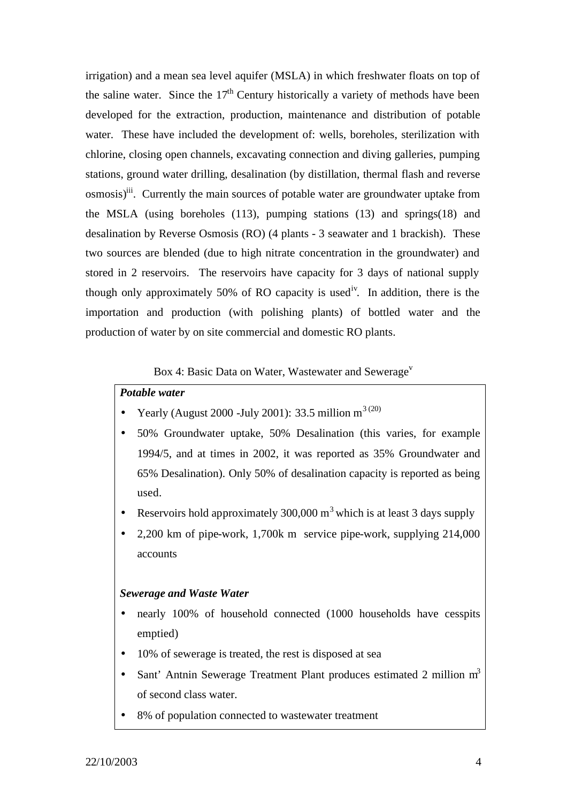irrigation) and a mean sea level aquifer (MSLA) in which freshwater floats on top of the saline water. Since the  $17<sup>th</sup>$  Century historically a variety of methods have been developed for the extraction, production, maintenance and distribution of potable water. These have included the development of: wells, boreholes, sterilization with chlorine, closing open channels, excavating connection and diving galleries, pumping stations, ground water drilling, desalination (by distillation, thermal flash and reverse osmosis)<sup>iii</sup>. Currently the main sources of potable water are groundwater uptake from the MSLA (using boreholes (113), pumping stations (13) and springs(18) and desalination by Reverse Osmosis (RO) (4 plants - 3 seawater and 1 brackish). These two sources are blended (due to high nitrate concentration in the groundwater) and stored in 2 reservoirs. The reservoirs have capacity for 3 days of national supply though only approximately 50% of RO capacity is used<sup>iv</sup>. In addition, there is the importation and production (with polishing plants) of bottled water and the production of water by on site commercial and domestic RO plants.

### Box 4: Basic Data on Water, Wastewater and Sewerage<sup>v</sup>

### *Potable water*

- Yearly (August 2000 -July 2001): 33.5 million  $m^{3(20)}$
- 50% Groundwater uptake, 50% Desalination (this varies, for example 1994/5, and at times in 2002, it was reported as 35% Groundwater and 65% Desalination). Only 50% of desalination capacity is reported as being used.
- Reservoirs hold approximately  $300,000 \text{ m}^3$  which is at least 3 days supply
- 2,200 km of pipe-work, 1,700k m service pipe-work, supplying 214,000 accounts

### *Sewerage and Waste Water*

- nearly 100% of household connected (1000 households have cesspits emptied)
- 10% of sewerage is treated, the rest is disposed at sea
- Sant' Antnin Sewerage Treatment Plant produces estimated 2 million m<sup>3</sup> of second class water.
- 8% of population connected to wastewater treatment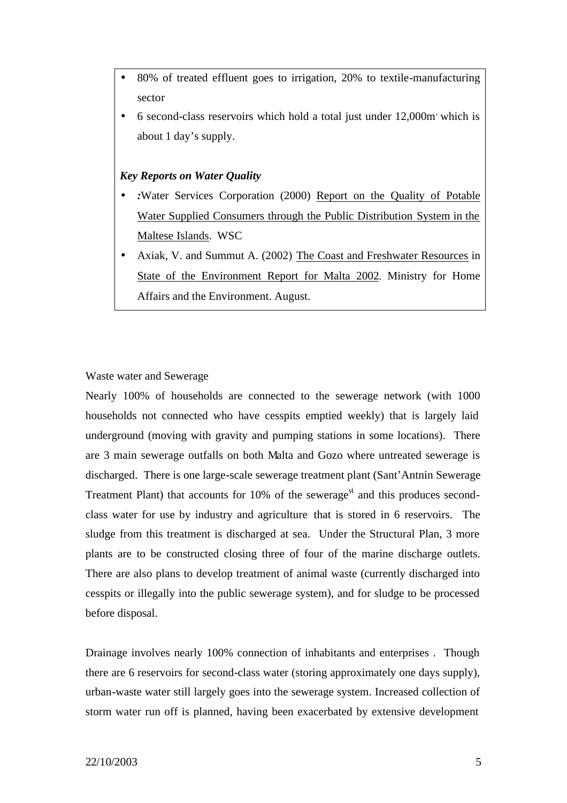- 80% of treated effluent goes to irrigation, 20% to textile-manufacturing sector
- 6 second-class reservoirs which hold a total just under 12,000m, which is about 1 day's supply.

### *Key Reports on Water Quality*

- *:*Water Services Corporation (2000) Report on the Quality of Potable Water Supplied Consumers through the Public Distribution System in the Maltese Islands. WSC
- Axiak, V. and Summut A. (2002) The Coast and Freshwater Resources in State of the Environment Report for Malta 2002. Ministry for Home Affairs and the Environment. August.

### Waste water and Sewerage

Nearly 100% of households are connected to the sewerage network (with 1000 households not connected who have cesspits emptied weekly) that is largely laid underground (moving with gravity and pumping stations in some locations). There are 3 main sewerage outfalls on both Malta and Gozo where untreated sewerage is discharged. There is one large-scale sewerage treatment plant (Sant'Antnin Sewerage Treatment Plant) that accounts for 10% of the sewerage<sup> $\vec{v}$ </sup> and this produces secondclass water for use by industry and agriculture that is stored in 6 reservoirs. The sludge from this treatment is discharged at sea. Under the Structural Plan, 3 more plants are to be constructed closing three of four of the marine discharge outlets. There are also plans to develop treatment of animal waste (currently discharged into cesspits or illegally into the public sewerage system), and for sludge to be processed before disposal.

Drainage involves nearly 100% connection of inhabitants and enterprises . Though there are 6 reservoirs for second-class water (storing approximately one days supply), urban-waste water still largely goes into the sewerage system. Increased collection of storm water run off is planned, having been exacerbated by extensive development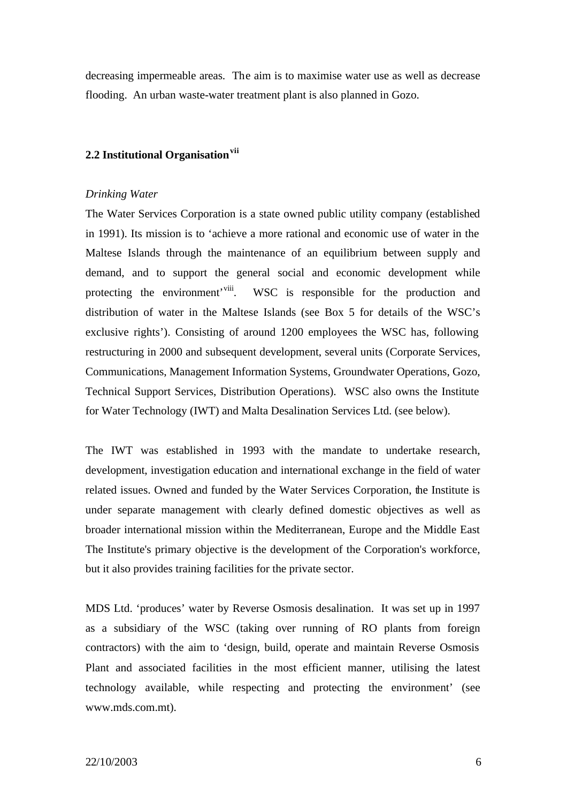decreasing impermeable areas. The aim is to maximise water use as well as decrease flooding. An urban waste-water treatment plant is also planned in Gozo.

### **2.2 Institutional Organisationvii**

### *Drinking Water*

The Water Services Corporation is a state owned public utility company (established in 1991). Its mission is to 'achieve a more rational and economic use of water in the Maltese Islands through the maintenance of an equilibrium between supply and demand, and to support the general social and economic development while protecting the environment'<sup>viii</sup>. WSC is responsible for the production and distribution of water in the Maltese Islands (see Box 5 for details of the WSC's exclusive rights'). Consisting of around 1200 employees the WSC has, following restructuring in 2000 and subsequent development, several units (Corporate Services, Communications, Management Information Systems, Groundwater Operations, Gozo, Technical Support Services, Distribution Operations). WSC also owns the Institute for Water Technology (IWT) and Malta Desalination Services Ltd. (see below).

The IWT was established in 1993 with the mandate to undertake research, development, investigation education and international exchange in the field of water related issues. Owned and funded by the Water Services Corporation, the Institute is under separate management with clearly defined domestic objectives as well as broader international mission within the Mediterranean, Europe and the Middle East The Institute's primary objective is the development of the Corporation's workforce, but it also provides training facilities for the private sector.

MDS Ltd. 'produces' water by Reverse Osmosis desalination. It was set up in 1997 as a subsidiary of the WSC (taking over running of RO plants from foreign contractors) with the aim to 'design, build, operate and maintain Reverse Osmosis Plant and associated facilities in the most efficient manner, utilising the latest technology available, while respecting and protecting the environment' (see www.mds.com.mt).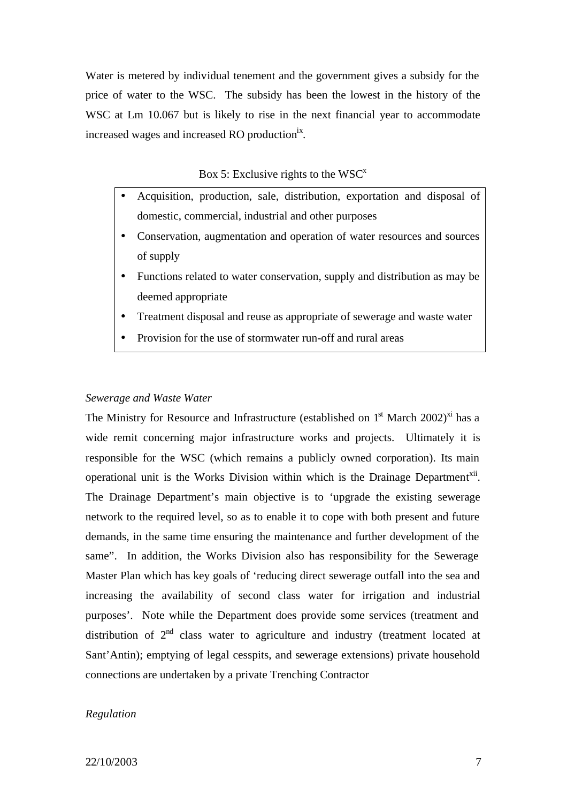Water is metered by individual tenement and the government gives a subsidy for the price of water to the WSC. The subsidy has been the lowest in the history of the WSC at Lm 10.067 but is likely to rise in the next financial year to accommodate increased wages and increased RO production<sup>ix</sup>.

Box 5: Exclusive rights to the  $WSC^x$ 

- Acquisition, production, sale, distribution, exportation and disposal of domestic, commercial, industrial and other purposes
- Conservation, augmentation and operation of water resources and sources of supply
- Functions related to water conservation, supply and distribution as may be deemed appropriate
- Treatment disposal and reuse as appropriate of sewerage and waste water
- Provision for the use of stormwater run-off and rural areas

#### *Sewerage and Waste Water*

The Ministry for Resource and Infrastructure (established on  $1<sup>st</sup>$  March 2002)<sup>xi</sup> has a wide remit concerning major infrastructure works and projects. Ultimately it is responsible for the WSC (which remains a publicly owned corporation). Its main operational unit is the Works Division within which is the Drainage Department<sup>xii</sup>. The Drainage Department's main objective is to 'upgrade the existing sewerage network to the required level, so as to enable it to cope with both present and future demands, in the same time ensuring the maintenance and further development of the same". In addition, the Works Division also has responsibility for the Sewerage Master Plan which has key goals of 'reducing direct sewerage outfall into the sea and increasing the availability of second class water for irrigation and industrial purposes'. Note while the Department does provide some services (treatment and distribution of  $2<sup>nd</sup>$  class water to agriculture and industry (treatment located at Sant'Antin); emptying of legal cesspits, and sewerage extensions) private household connections are undertaken by a private Trenching Contractor

### *Regulation*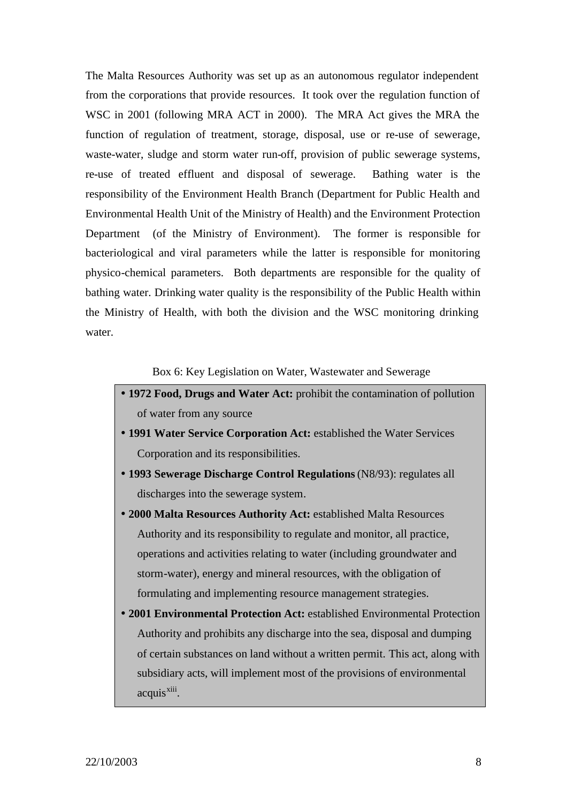The Malta Resources Authority was set up as an autonomous regulator independent from the corporations that provide resources. It took over the regulation function of WSC in 2001 (following MRA ACT in 2000). The MRA Act gives the MRA the function of regulation of treatment, storage, disposal, use or re-use of sewerage, waste-water, sludge and storm water run-off, provision of public sewerage systems, re-use of treated effluent and disposal of sewerage. Bathing water is the responsibility of the Environment Health Branch (Department for Public Health and Environmental Health Unit of the Ministry of Health) and the Environment Protection Department (of the Ministry of Environment). The former is responsible for bacteriological and viral parameters while the latter is responsible for monitoring physico-chemical parameters. Both departments are responsible for the quality of bathing water. Drinking water quality is the responsibility of the Public Health within the Ministry of Health, with both the division and the WSC monitoring drinking water.

Box 6: Key Legislation on Water, Wastewater and Sewerage

- **1972 Food, Drugs and Water Act:** prohibit the contamination of pollution of water from any source
- **1991 Water Service Corporation Act:** established the Water Services Corporation and its responsibilities.
- **1993 Sewerage Discharge Control Regulations** (N8/93): regulates all discharges into the sewerage system.
- **2000 Malta Resources Authority Act:** established Malta Resources Authority and its responsibility to regulate and monitor, all practice, operations and activities relating to water (including groundwater and storm-water), energy and mineral resources, with the obligation of formulating and implementing resource management strategies.
- **2001 Environmental Protection Act:** established Environmental Protection Authority and prohibits any discharge into the sea, disposal and dumping of certain substances on land without a written permit. This act, along with subsidiary acts, will implement most of the provisions of environmental acquis<sup>xiii</sup>.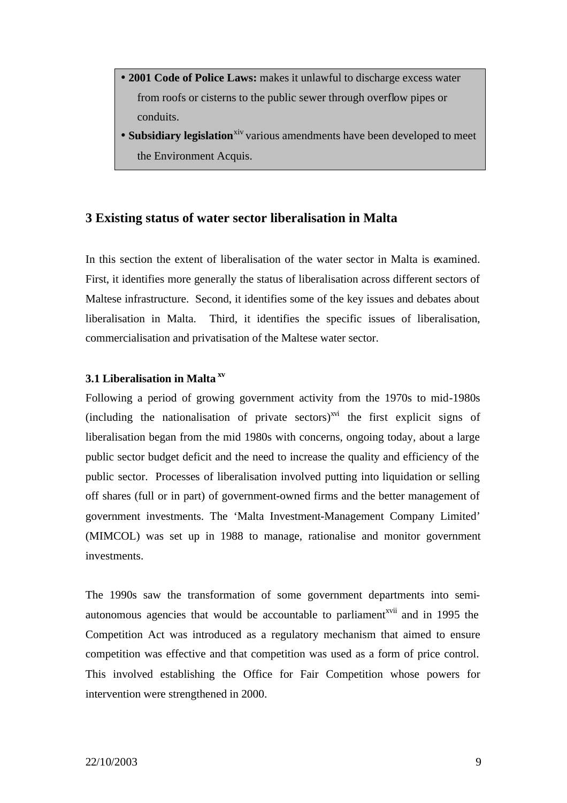- **2001 Code of Police Laws:** makes it unlawful to discharge excess water from roofs or cisterns to the public sewer through overflow pipes or conduits.
- **Subsidiary legislation**<sup>xiv</sup> various amendments have been developed to meet the Environment Acquis.

### **3 Existing status of water sector liberalisation in Malta**

In this section the extent of liberalisation of the water sector in Malta is examined. First, it identifies more generally the status of liberalisation across different sectors of Maltese infrastructure. Second, it identifies some of the key issues and debates about liberalisation in Malta. Third, it identifies the specific issues of liberalisation, commercialisation and privatisation of the Maltese water sector.

### **3.1 Liberalisation in Malta xv**

Following a period of growing government activity from the 1970s to mid-1980s (including the nationalisation of private sectors) $^{xvi}$  the first explicit signs of liberalisation began from the mid 1980s with concerns, ongoing today, about a large public sector budget deficit and the need to increase the quality and efficiency of the public sector. Processes of liberalisation involved putting into liquidation or selling off shares (full or in part) of government-owned firms and the better management of government investments. The 'Malta Investment-Management Company Limited' (MIMCOL) was set up in 1988 to manage, rationalise and monitor government investments.

The 1990s saw the transformation of some government departments into semiautonomous agencies that would be accountable to parliament<sup>xvii</sup> and in 1995 the Competition Act was introduced as a regulatory mechanism that aimed to ensure competition was effective and that competition was used as a form of price control. This involved establishing the Office for Fair Competition whose powers for intervention were strengthened in 2000.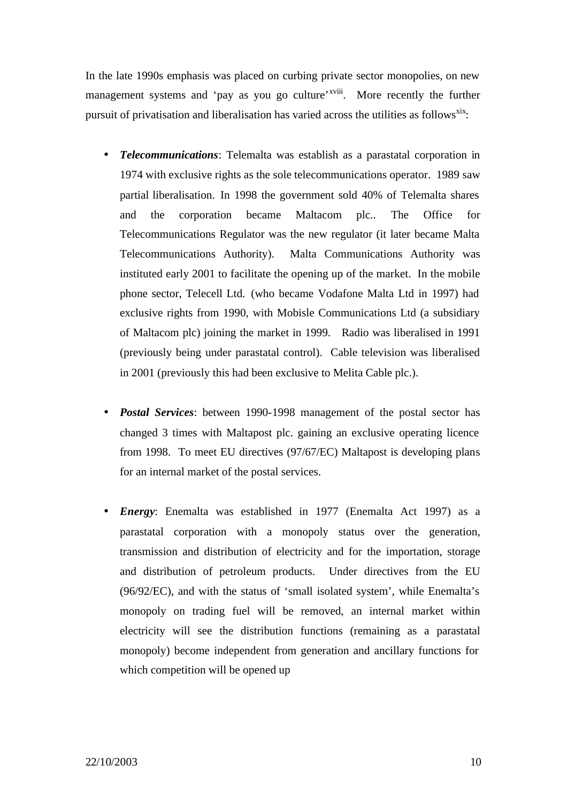In the late 1990s emphasis was placed on curbing private sector monopolies, on new management systems and 'pay as you go culture'<sup>xviii</sup>. More recently the further pursuit of privatisation and liberalisation has varied across the utilities as follows<sup>xix</sup>:

- *Telecommunications*: Telemalta was establish as a parastatal corporation in 1974 with exclusive rights as the sole telecommunications operator. 1989 saw partial liberalisation. In 1998 the government sold 40% of Telemalta shares and the corporation became Maltacom plc.. The Office for Telecommunications Regulator was the new regulator (it later became Malta Telecommunications Authority). Malta Communications Authority was instituted early 2001 to facilitate the opening up of the market. In the mobile phone sector, Telecell Ltd. (who became Vodafone Malta Ltd in 1997) had exclusive rights from 1990, with Mobisle Communications Ltd (a subsidiary of Maltacom plc) joining the market in 1999. Radio was liberalised in 1991 (previously being under parastatal control). Cable television was liberalised in 2001 (previously this had been exclusive to Melita Cable plc.).
- *Postal Services*: between 1990-1998 management of the postal sector has changed 3 times with Maltapost plc. gaining an exclusive operating licence from 1998. To meet EU directives (97/67/EC) Maltapost is developing plans for an internal market of the postal services.
- *Energy*: Enemalta was established in 1977 (Enemalta Act 1997) as a parastatal corporation with a monopoly status over the generation, transmission and distribution of electricity and for the importation, storage and distribution of petroleum products. Under directives from the EU (96/92/EC), and with the status of 'small isolated system', while Enemalta's monopoly on trading fuel will be removed, an internal market within electricity will see the distribution functions (remaining as a parastatal monopoly) become independent from generation and ancillary functions for which competition will be opened up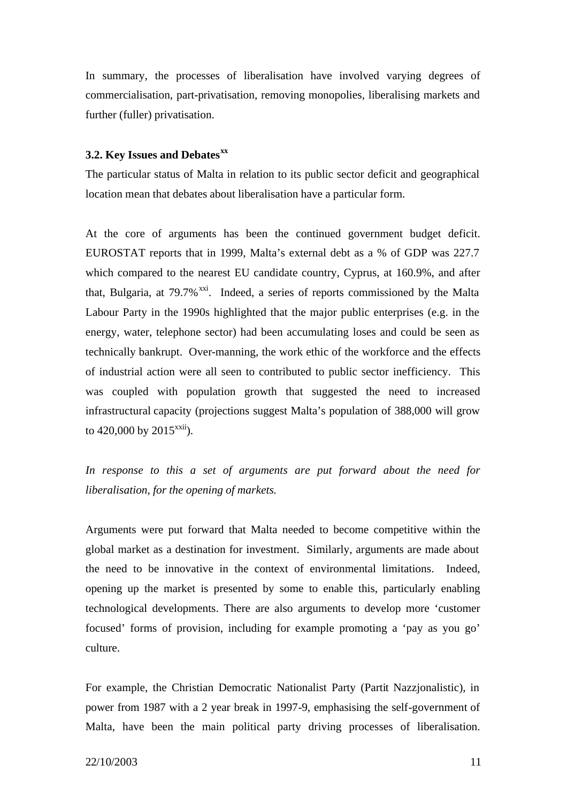In summary, the processes of liberalisation have involved varying degrees of commercialisation, part-privatisation, removing monopolies, liberalising markets and further (fuller) privatisation.

### **3.2. Key Issues and Debatesxx**

The particular status of Malta in relation to its public sector deficit and geographical location mean that debates about liberalisation have a particular form.

At the core of arguments has been the continued government budget deficit. EUROSTAT reports that in 1999, Malta's external debt as a % of GDP was 227.7 which compared to the nearest EU candidate country, Cyprus, at 160.9%, and after that, Bulgaria, at  $79.7\%$ <sup>xxi</sup>. Indeed, a series of reports commissioned by the Malta Labour Party in the 1990s highlighted that the major public enterprises (e.g. in the energy, water, telephone sector) had been accumulating loses and could be seen as technically bankrupt. Over-manning, the work ethic of the workforce and the effects of industrial action were all seen to contributed to public sector inefficiency. This was coupled with population growth that suggested the need to increased infrastructural capacity (projections suggest Malta's population of 388,000 will grow to  $420,000$  by  $2015^{x}$ .

*In response to this a set of arguments are put forward about the need for liberalisation, for the opening of markets.* 

Arguments were put forward that Malta needed to become competitive within the global market as a destination for investment. Similarly, arguments are made about the need to be innovative in the context of environmental limitations. Indeed, opening up the market is presented by some to enable this, particularly enabling technological developments. There are also arguments to develop more 'customer focused' forms of provision, including for example promoting a 'pay as you go' culture.

For example, the Christian Democratic Nationalist Party (Partit Nazzjonalistic), in power from 1987 with a 2 year break in 1997-9, emphasising the self-government of Malta, have been the main political party driving processes of liberalisation.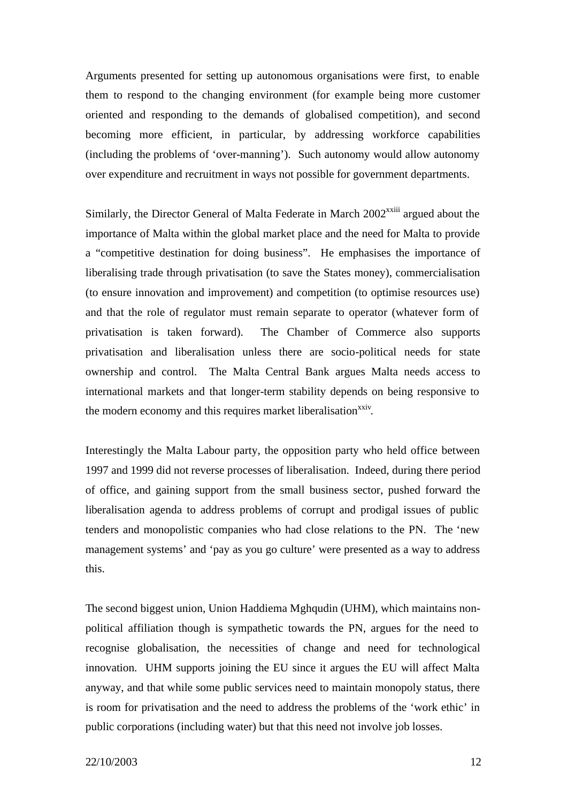Arguments presented for setting up autonomous organisations were first, to enable them to respond to the changing environment (for example being more customer oriented and responding to the demands of globalised competition), and second becoming more efficient, in particular, by addressing workforce capabilities (including the problems of 'over-manning'). Such autonomy would allow autonomy over expenditure and recruitment in ways not possible for government departments.

Similarly, the Director General of Malta Federate in March 2002<sup>xxiii</sup> argued about the importance of Malta within the global market place and the need for Malta to provide a "competitive destination for doing business". He emphasises the importance of liberalising trade through privatisation (to save the States money), commercialisation (to ensure innovation and improvement) and competition (to optimise resources use) and that the role of regulator must remain separate to operator (whatever form of privatisation is taken forward). The Chamber of Commerce also supports privatisation and liberalisation unless there are socio-political needs for state ownership and control. The Malta Central Bank argues Malta needs access to international markets and that longer-term stability depends on being responsive to the modern economy and this requires market liberalisation<sup>xxiv</sup>.

Interestingly the Malta Labour party, the opposition party who held office between 1997 and 1999 did not reverse processes of liberalisation. Indeed, during there period of office, and gaining support from the small business sector, pushed forward the liberalisation agenda to address problems of corrupt and prodigal issues of public tenders and monopolistic companies who had close relations to the PN. The 'new management systems' and 'pay as you go culture' were presented as a way to address this.

The second biggest union, Union Haddiema Mghqudin (UHM), which maintains nonpolitical affiliation though is sympathetic towards the PN, argues for the need to recognise globalisation, the necessities of change and need for technological innovation. UHM supports joining the EU since it argues the EU will affect Malta anyway, and that while some public services need to maintain monopoly status, there is room for privatisation and the need to address the problems of the 'work ethic' in public corporations (including water) but that this need not involve job losses.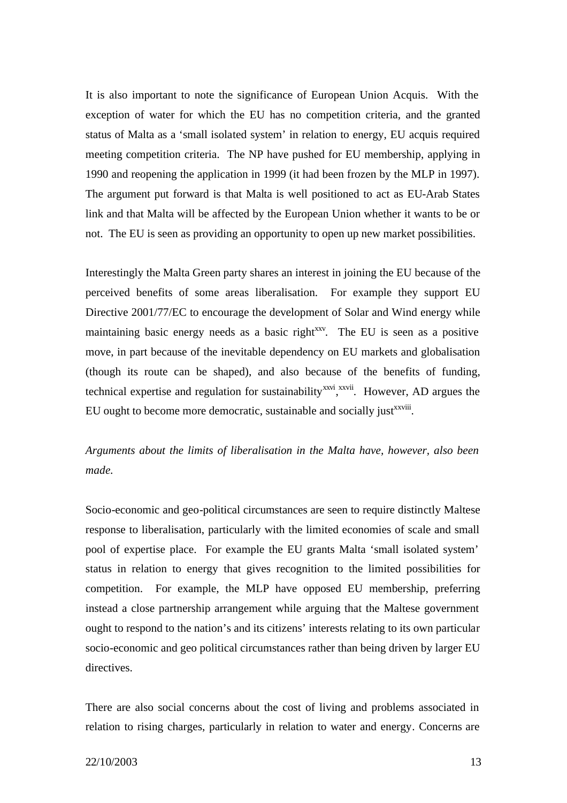It is also important to note the significance of European Union Acquis. With the exception of water for which the EU has no competition criteria, and the granted status of Malta as a 'small isolated system' in relation to energy, EU acquis required meeting competition criteria. The NP have pushed for EU membership, applying in 1990 and reopening the application in 1999 (it had been frozen by the MLP in 1997). The argument put forward is that Malta is well positioned to act as EU-Arab States link and that Malta will be affected by the European Union whether it wants to be or not. The EU is seen as providing an opportunity to open up new market possibilities.

Interestingly the Malta Green party shares an interest in joining the EU because of the perceived benefits of some areas liberalisation. For example they support EU Directive 2001/77/EC to encourage the development of Solar and Wind energy while maintaining basic energy needs as a basic right<sup>xxv</sup>. The EU is seen as a positive move, in part because of the inevitable dependency on EU markets and globalisation (though its route can be shaped), and also because of the benefits of funding, technical expertise and regulation for sustainability<sup>xxvi</sup>,<sup>xxvii</sup>. However, AD argues the EU ought to become more democratic, sustainable and socially just<sup>xxviii</sup>.

### *Arguments about the limits of liberalisation in the Malta have, however, also been made.*

Socio-economic and geo-political circumstances are seen to require distinctly Maltese response to liberalisation, particularly with the limited economies of scale and small pool of expertise place. For example the EU grants Malta 'small isolated system' status in relation to energy that gives recognition to the limited possibilities for competition. For example, the MLP have opposed EU membership, preferring instead a close partnership arrangement while arguing that the Maltese government ought to respond to the nation's and its citizens' interests relating to its own particular socio-economic and geo political circumstances rather than being driven by larger EU directives.

There are also social concerns about the cost of living and problems associated in relation to rising charges, particularly in relation to water and energy. Concerns are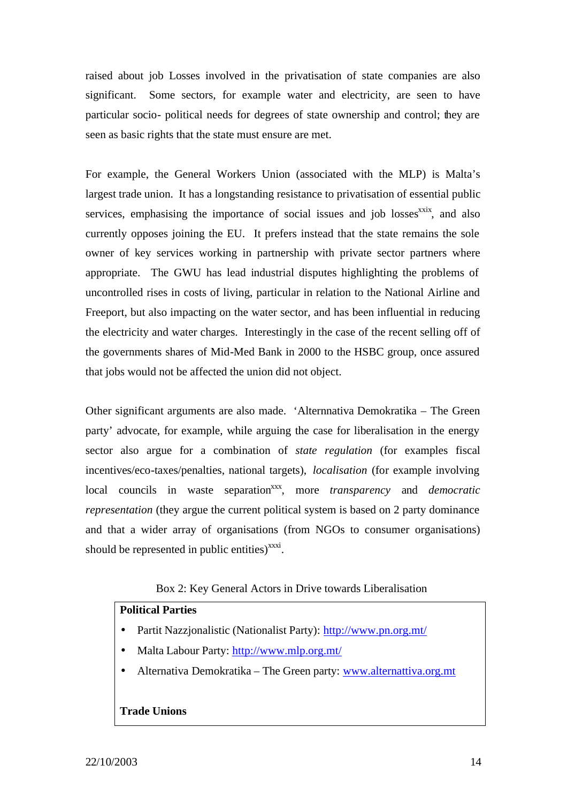raised about job Losses involved in the privatisation of state companies are also significant. Some sectors, for example water and electricity, are seen to have particular socio- political needs for degrees of state ownership and control; they are seen as basic rights that the state must ensure are met.

For example, the General Workers Union (associated with the MLP) is Malta's largest trade union. It has a longstanding resistance to privatisation of essential public services, emphasising the importance of social issues and job losses<sup>xxix</sup>, and also currently opposes joining the EU. It prefers instead that the state remains the sole owner of key services working in partnership with private sector partners where appropriate. The GWU has lead industrial disputes highlighting the problems of uncontrolled rises in costs of living, particular in relation to the National Airline and Freeport, but also impacting on the water sector, and has been influential in reducing the electricity and water charges. Interestingly in the case of the recent selling off of the governments shares of Mid-Med Bank in 2000 to the HSBC group, once assured that jobs would not be affected the union did not object.

Other significant arguments are also made. 'Alternnativa Demokratika – The Green party' advocate, for example, while arguing the case for liberalisation in the energy sector also argue for a combination of *state regulation* (for examples fiscal incentives/eco-taxes/penalties, national targets), *localisation* (for example involving local councils in waste separation<sup>xxx</sup>, more *transparency* and *democratic representation* (they argue the current political system is based on 2 party dominance and that a wider array of organisations (from NGOs to consumer organisations) should be represented in public entities) $\frac{xxxi}{x}$ .

### Box 2: Key General Actors in Drive towards Liberalisation

### **Political Parties**

- Partit Nazzjonalistic (Nationalist Party): http://www.pn.org.mt/
- Malta Labour Party: http://www.mlp.org.mt/
- Alternativa Demokratika The Green party: www.alternattiva.org.mt

### **Trade Unions**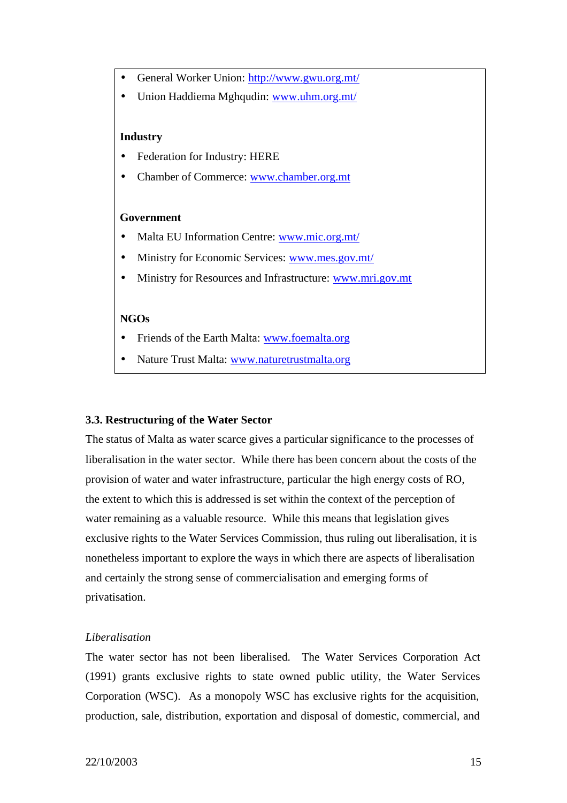- General Worker Union: http://www.gwu.org.mt/
- Union Haddiema Mghqudin: www.uhm.org.mt/

### **Industry**

- Federation for Industry: HERE
- Chamber of Commerce: www.chamber.org.mt

### **Government**

- Malta EU Information Centre: www.mic.org.mt/
- Ministry for Economic Services: www.mes.gov.mt/
- Ministry for Resources and Infrastructure: www.mri.gov.mt

### **NGOs**

- Friends of the Earth Malta: www.foemalta.org
- Nature Trust Malta: www.naturetrustmalta.org

#### **3.3. Restructuring of the Water Sector**

The status of Malta as water scarce gives a particular significance to the processes of liberalisation in the water sector. While there has been concern about the costs of the provision of water and water infrastructure, particular the high energy costs of RO, the extent to which this is addressed is set within the context of the perception of water remaining as a valuable resource. While this means that legislation gives exclusive rights to the Water Services Commission, thus ruling out liberalisation, it is nonetheless important to explore the ways in which there are aspects of liberalisation and certainly the strong sense of commercialisation and emerging forms of privatisation.

### *Liberalisation*

The water sector has not been liberalised. The Water Services Corporation Act (1991) grants exclusive rights to state owned public utility, the Water Services Corporation (WSC). As a monopoly WSC has exclusive rights for the acquisition, production, sale, distribution, exportation and disposal of domestic, commercial, and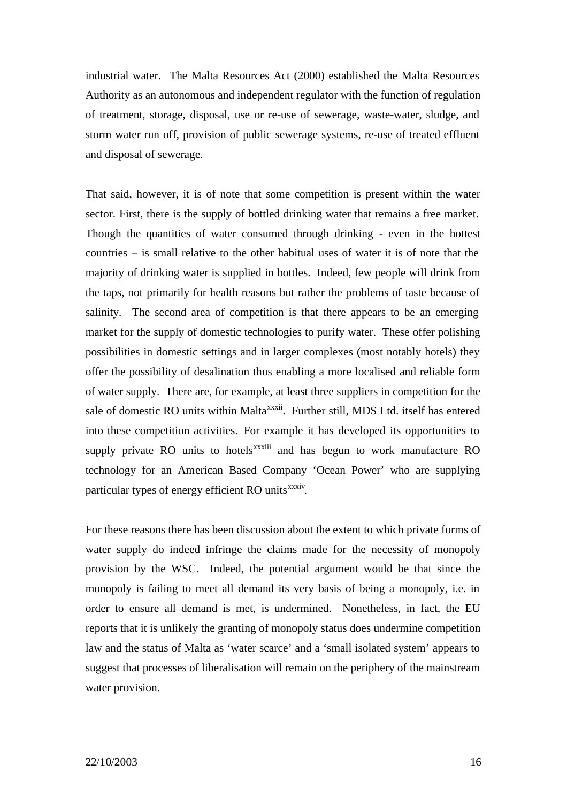industrial water. The Malta Resources Act (2000) established the Malta Resources Authority as an autonomous and independent regulator with the function of regulation of treatment, storage, disposal, use or re-use of sewerage, waste-water, sludge, and storm water run off, provision of public sewerage systems, re-use of treated effluent and disposal of sewerage.

That said, however, it is of note that some competition is present within the water sector. First, there is the supply of bottled drinking water that remains a free market. Though the quantities of water consumed through drinking - even in the hottest countries – is small relative to the other habitual uses of water it is of note that the majority of drinking water is supplied in bottles. Indeed, few people will drink from the taps, not primarily for health reasons but rather the problems of taste because of salinity. The second area of competition is that there appears to be an emerging market for the supply of domestic technologies to purify water. These offer polishing possibilities in domestic settings and in larger complexes (most notably hotels) they offer the possibility of desalination thus enabling a more localised and reliable form of water supply. There are, for example, at least three suppliers in competition for the sale of domestic RO units within Malta<sup>xxxii</sup>. Further still, MDS Ltd. itself has entered into these competition activities. For example it has developed its opportunities to supply private RO units to hotels<sup>xxxiii</sup> and has begun to work manufacture RO technology for an American Based Company 'Ocean Power' who are supplying particular types of energy efficient RO units<sup>xxxiv</sup>.

For these reasons there has been discussion about the extent to which private forms of water supply do indeed infringe the claims made for the necessity of monopoly provision by the WSC. Indeed, the potential argument would be that since the monopoly is failing to meet all demand its very basis of being a monopoly, i.e. in order to ensure all demand is met, is undermined. Nonetheless, in fact, the EU reports that it is unlikely the granting of monopoly status does undermine competition law and the status of Malta as 'water scarce' and a 'small isolated system' appears to suggest that processes of liberalisation will remain on the periphery of the mainstream water provision.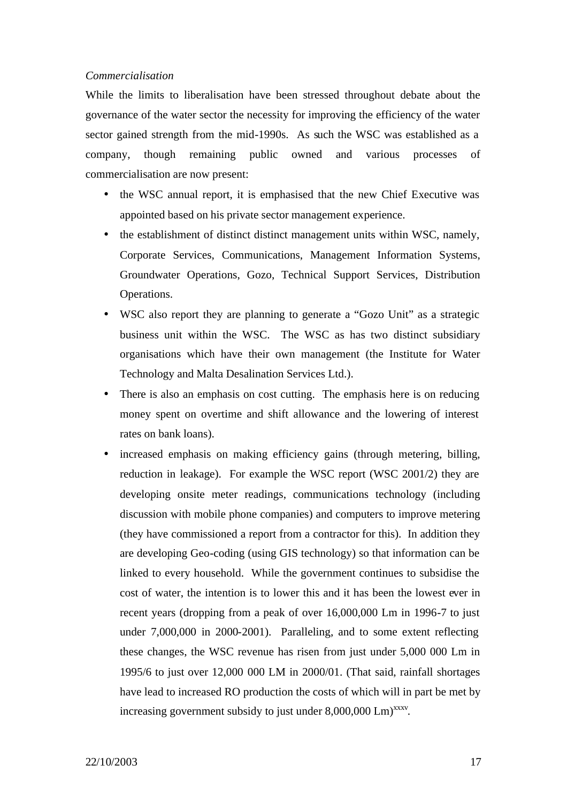### *Commercialisation*

While the limits to liberalisation have been stressed throughout debate about the governance of the water sector the necessity for improving the efficiency of the water sector gained strength from the mid-1990s. As such the WSC was established as a company, though remaining public owned and various processes of commercialisation are now present:

- the WSC annual report, it is emphasised that the new Chief Executive was appointed based on his private sector management experience.
- the establishment of distinct distinct management units within WSC, namely, Corporate Services, Communications, Management Information Systems, Groundwater Operations, Gozo, Technical Support Services, Distribution Operations.
- WSC also report they are planning to generate a "Gozo Unit" as a strategic business unit within the WSC. The WSC as has two distinct subsidiary organisations which have their own management (the Institute for Water Technology and Malta Desalination Services Ltd.).
- There is also an emphasis on cost cutting. The emphasis here is on reducing money spent on overtime and shift allowance and the lowering of interest rates on bank loans).
- increased emphasis on making efficiency gains (through metering, billing, reduction in leakage). For example the WSC report (WSC 2001/2) they are developing onsite meter readings, communications technology (including discussion with mobile phone companies) and computers to improve metering (they have commissioned a report from a contractor for this). In addition they are developing Geo-coding (using GIS technology) so that information can be linked to every household. While the government continues to subsidise the cost of water, the intention is to lower this and it has been the lowest ever in recent years (dropping from a peak of over 16,000,000 Lm in 1996-7 to just under 7,000,000 in 2000-2001). Paralleling, and to some extent reflecting these changes, the WSC revenue has risen from just under 5,000 000 Lm in 1995/6 to just over 12,000 000 LM in 2000/01. (That said, rainfall shortages have lead to increased RO production the costs of which will in part be met by increasing government subsidy to just under  $8,000,000$  Lm $)$ <sup>xxxv</sup>.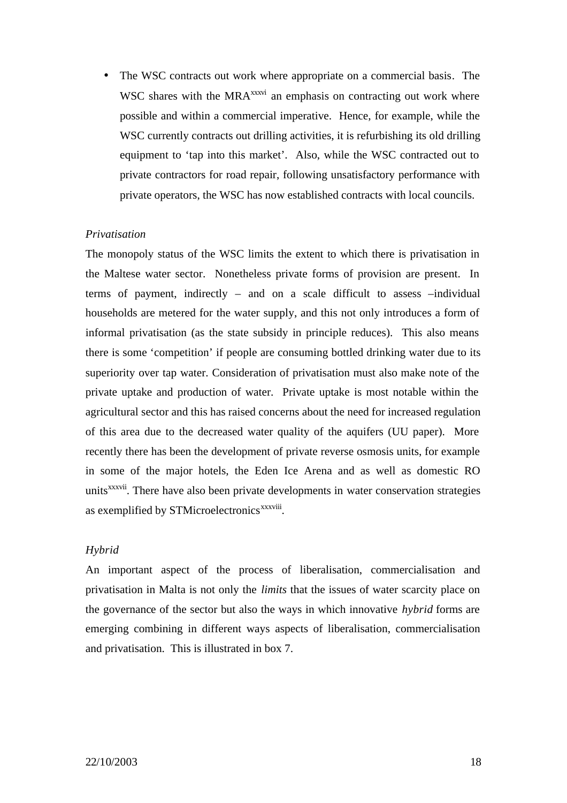• The WSC contracts out work where appropriate on a commercial basis. The WSC shares with the MRA<sup>xxxvi</sup> an emphasis on contracting out work where possible and within a commercial imperative. Hence, for example, while the WSC currently contracts out drilling activities, it is refurbishing its old drilling equipment to 'tap into this market'. Also, while the WSC contracted out to private contractors for road repair, following unsatisfactory performance with private operators, the WSC has now established contracts with local councils.

### *Privatisation*

The monopoly status of the WSC limits the extent to which there is privatisation in the Maltese water sector. Nonetheless private forms of provision are present. In terms of payment, indirectly – and on a scale difficult to assess –individual households are metered for the water supply, and this not only introduces a form of informal privatisation (as the state subsidy in principle reduces). This also means there is some 'competition' if people are consuming bottled drinking water due to its superiority over tap water. Consideration of privatisation must also make note of the private uptake and production of water. Private uptake is most notable within the agricultural sector and this has raised concerns about the need for increased regulation of this area due to the decreased water quality of the aquifers (UU paper). More recently there has been the development of private reverse osmosis units, for example in some of the major hotels, the Eden Ice Arena and as well as domestic RO units<sup>xxxvii</sup>. There have also been private developments in water conservation strategies as exemplified by STMicroelectronics<sup>xxxviii</sup>.

### *Hybrid*

An important aspect of the process of liberalisation, commercialisation and privatisation in Malta is not only the *limits* that the issues of water scarcity place on the governance of the sector but also the ways in which innovative *hybrid* forms are emerging combining in different ways aspects of liberalisation, commercialisation and privatisation. This is illustrated in box 7.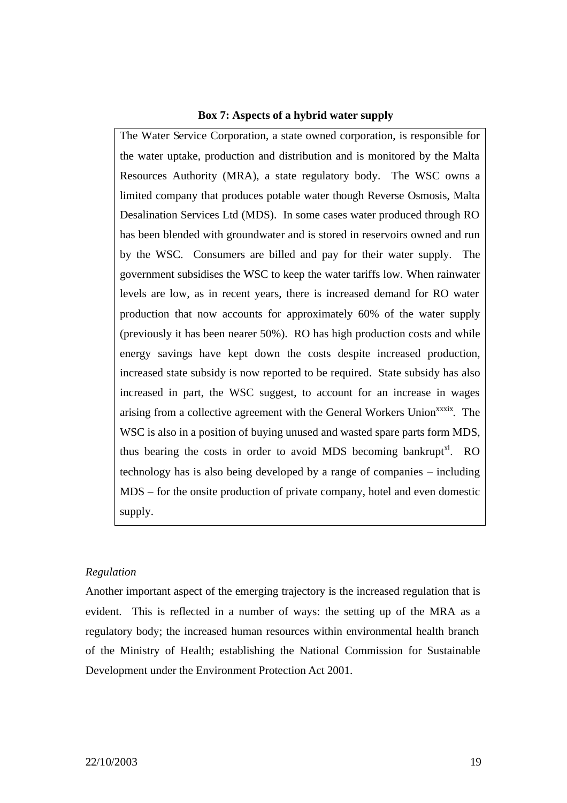### **Box 7: Aspects of a hybrid water supply**

The Water Service Corporation, a state owned corporation, is responsible for the water uptake, production and distribution and is monitored by the Malta Resources Authority (MRA), a state regulatory body. The WSC owns a limited company that produces potable water though Reverse Osmosis, Malta Desalination Services Ltd (MDS). In some cases water produced through RO has been blended with groundwater and is stored in reservoirs owned and run by the WSC. Consumers are billed and pay for their water supply. The government subsidises the WSC to keep the water tariffs low. When rainwater levels are low, as in recent years, there is increased demand for RO water production that now accounts for approximately 60% of the water supply (previously it has been nearer 50%). RO has high production costs and while energy savings have kept down the costs despite increased production, increased state subsidy is now reported to be required. State subsidy has also increased in part, the WSC suggest, to account for an increase in wages arising from a collective agreement with the General Workers Union<sup>xxxix</sup>. The WSC is also in a position of buying unused and wasted spare parts form MDS, thus bearing the costs in order to avoid MDS becoming bankrupt<sup>xl</sup>. RO technology has is also being developed by a range of companies – including MDS – for the onsite production of private company, hotel and even domestic supply.

### *Regulation*

Another important aspect of the emerging trajectory is the increased regulation that is evident. This is reflected in a number of ways: the setting up of the MRA as a regulatory body; the increased human resources within environmental health branch of the Ministry of Health; establishing the National Commission for Sustainable Development under the Environment Protection Act 2001.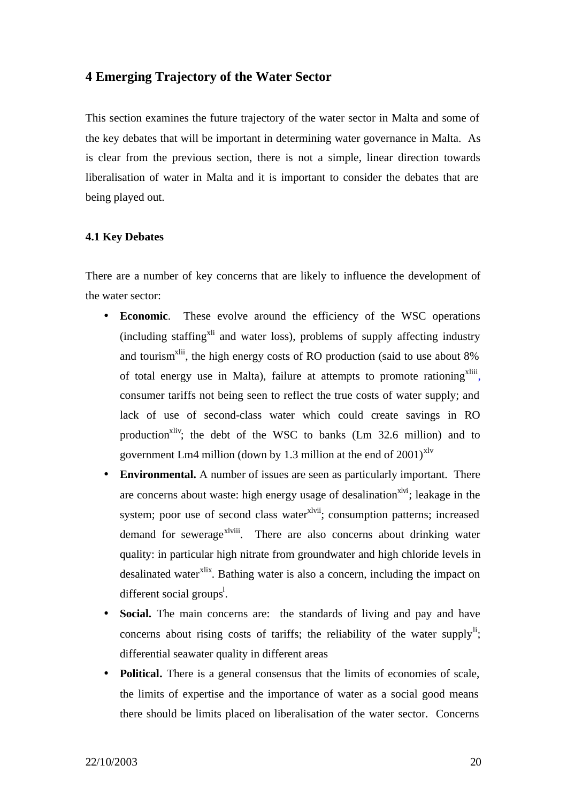### **4 Emerging Trajectory of the Water Sector**

This section examines the future trajectory of the water sector in Malta and some of the key debates that will be important in determining water governance in Malta. As is clear from the previous section, there is not a simple, linear direction towards liberalisation of water in Malta and it is important to consider the debates that are being played out.

### **4.1 Key Debates**

There are a number of key concerns that are likely to influence the development of the water sector:

- **Economic**. These evolve around the efficiency of the WSC operations  $(including starting<sup>xli</sup>$  and water loss), problems of supply affecting industry and tourism<sup> $x$ lii</sup>, the high energy costs of RO production (said to use about  $8\%$ ) of total energy use in Malta), failure at attempts to promote rationing<sup>xliii</sup>, consumer tariffs not being seen to reflect the true costs of water supply; and lack of use of second-class water which could create savings in RO production<sup>xliv</sup>; the debt of the WSC to banks  $(Lm 32.6 \text{ million})$  and to government Lm4 million (down by 1.3 million at the end of  $2001$ <sup>xlv</sup>
- **Environmental.** A number of issues are seen as particularly important. There are concerns about waste: high energy usage of desalination<sup>xlyi</sup>; leakage in the system; poor use of second class water<sup>xlvii</sup>; consumption patterns; increased demand for sewerage<sup>xlviii</sup>. There are also concerns about drinking water quality: in particular high nitrate from groundwater and high chloride levels in desalinated water<sup>xlix</sup>. Bathing water is also a concern, including the impact on different social groups<sup>1</sup>.
- **Social.** The main concerns are: the standards of living and pay and have concerns about rising costs of tariffs; the reliability of the water supply<sup>li</sup>; differential seawater quality in different areas
- **Political.** There is a general consensus that the limits of economies of scale, the limits of expertise and the importance of water as a social good means there should be limits placed on liberalisation of the water sector. Concerns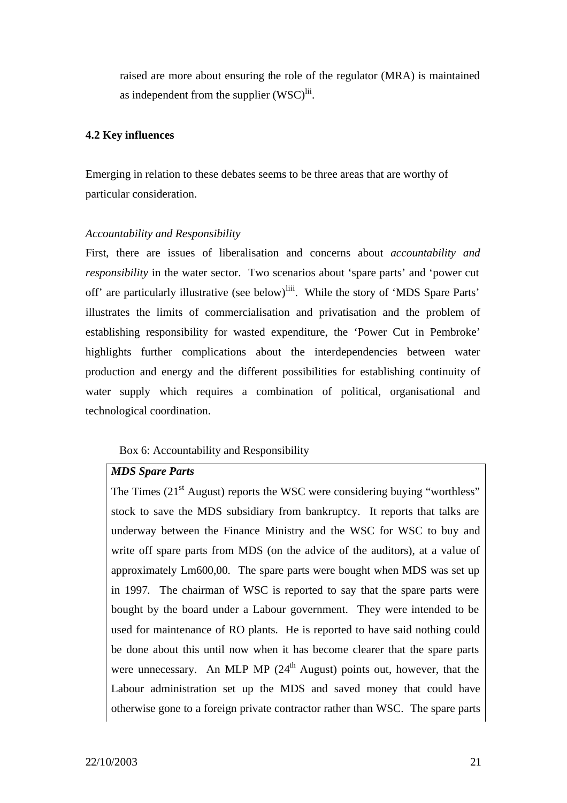raised are more about ensuring the role of the regulator (MRA) is maintained as independent from the supplier  $(WSC)^{li}$ .

### **4.2 Key influences**

Emerging in relation to these debates seems to be three areas that are worthy of particular consideration.

### *Accountability and Responsibility*

First, there are issues of liberalisation and concerns about *accountability and responsibility* in the water sector. Two scenarios about 'spare parts' and 'power cut off' are particularly illustrative (see below)<sup>liii</sup>. While the story of 'MDS Spare Parts' illustrates the limits of commercialisation and privatisation and the problem of establishing responsibility for wasted expenditure, the 'Power Cut in Pembroke' highlights further complications about the interdependencies between water production and energy and the different possibilities for establishing continuity of water supply which requires a combination of political, organisational and technological coordination.

### Box 6: Accountability and Responsibility

### *MDS Spare Parts*

The Times  $(21<sup>st</sup>$  August) reports the WSC were considering buying "worthless" stock to save the MDS subsidiary from bankruptcy. It reports that talks are underway between the Finance Ministry and the WSC for WSC to buy and write off spare parts from MDS (on the advice of the auditors), at a value of approximately Lm600,00. The spare parts were bought when MDS was set up in 1997. The chairman of WSC is reported to say that the spare parts were bought by the board under a Labour government. They were intended to be used for maintenance of RO plants. He is reported to have said nothing could be done about this until now when it has become clearer that the spare parts were unnecessary. An MLP MP  $(24<sup>th</sup>$  August) points out, however, that the Labour administration set up the MDS and saved money that could have otherwise gone to a foreign private contractor rather than WSC. The spare parts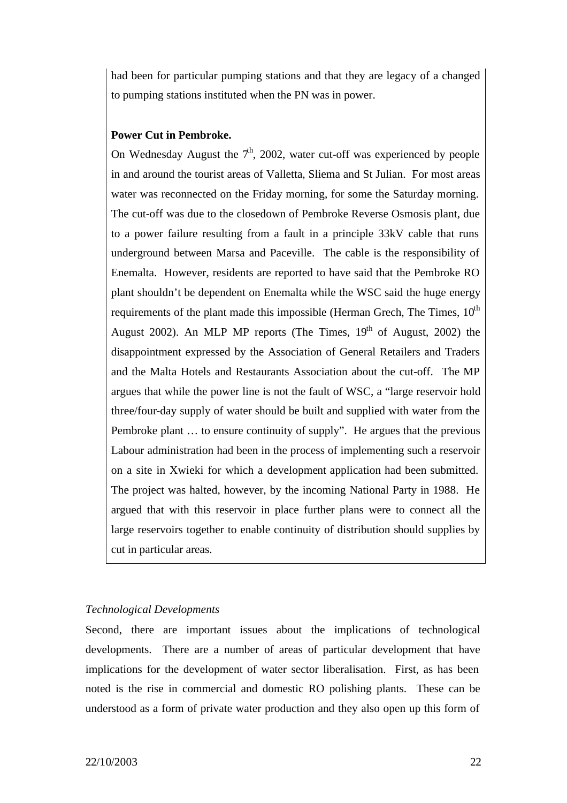had been for particular pumping stations and that they are legacy of a changed to pumping stations instituted when the PN was in power.

### **Power Cut in Pembroke.**

On Wednesday August the  $7<sup>th</sup>$ , 2002, water cut-off was experienced by people in and around the tourist areas of Valletta, Sliema and St Julian. For most areas water was reconnected on the Friday morning, for some the Saturday morning. The cut-off was due to the closedown of Pembroke Reverse Osmosis plant, due to a power failure resulting from a fault in a principle 33kV cable that runs underground between Marsa and Paceville. The cable is the responsibility of Enemalta. However, residents are reported to have said that the Pembroke RO plant shouldn't be dependent on Enemalta while the WSC said the huge energy requirements of the plant made this impossible (Herman Grech, The Times,  $10<sup>th</sup>$ August 2002). An MLP MP reports (The Times,  $19<sup>th</sup>$  of August, 2002) the disappointment expressed by the Association of General Retailers and Traders and the Malta Hotels and Restaurants Association about the cut-off. The MP argues that while the power line is not the fault of WSC, a "large reservoir hold three/four-day supply of water should be built and supplied with water from the Pembroke plant … to ensure continuity of supply". He argues that the previous Labour administration had been in the process of implementing such a reservoir on a site in Xwieki for which a development application had been submitted. The project was halted, however, by the incoming National Party in 1988. He argued that with this reservoir in place further plans were to connect all the large reservoirs together to enable continuity of distribution should supplies by cut in particular areas.

### *Technological Developments*

Second, there are important issues about the implications of technological developments. There are a number of areas of particular development that have implications for the development of water sector liberalisation. First, as has been noted is the rise in commercial and domestic RO polishing plants. These can be understood as a form of private water production and they also open up this form of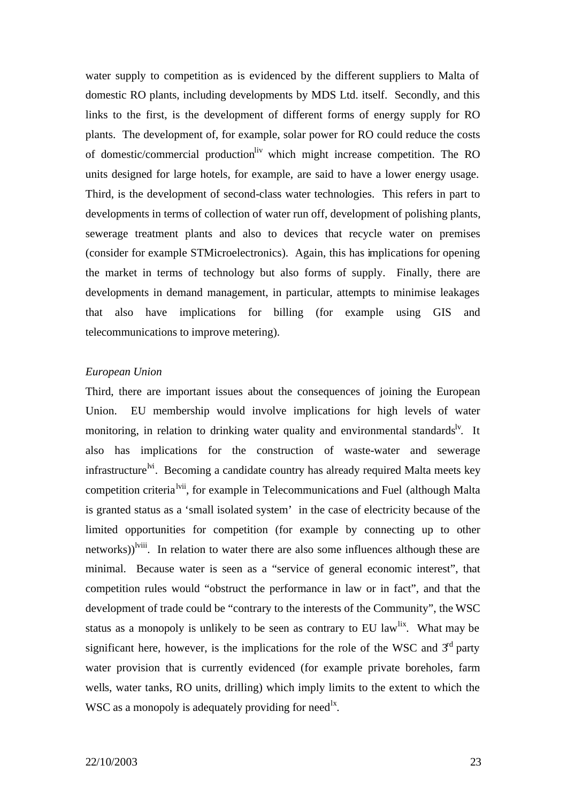water supply to competition as is evidenced by the different suppliers to Malta of domestic RO plants, including developments by MDS Ltd. itself. Secondly, and this links to the first, is the development of different forms of energy supply for RO plants. The development of, for example, solar power for RO could reduce the costs of domestic/commercial production<sup>liv</sup> which might increase competition. The RO units designed for large hotels, for example, are said to have a lower energy usage. Third, is the development of second-class water technologies. This refers in part to developments in terms of collection of water run off, development of polishing plants, sewerage treatment plants and also to devices that recycle water on premises (consider for example STMicroelectronics). Again, this has implications for opening the market in terms of technology but also forms of supply. Finally, there are developments in demand management, in particular, attempts to minimise leakages that also have implications for billing (for example using GIS and telecommunications to improve metering).

### *European Union*

Third, there are important issues about the consequences of joining the European Union. EU membership would involve implications for high levels of water monitoring, in relation to drinking water quality and environmental standards<sup>ly</sup>. It also has implications for the construction of waste-water and sewerage infrastructure<sup>lvi</sup>. Becoming a candidate country has already required Malta meets key competition criteria<sup>lvii</sup>, for example in Telecommunications and Fuel (although Malta) is granted status as a 'small isolated system' in the case of electricity because of the limited opportunities for competition (for example by connecting up to other networks)<sup>lviii</sup>. In relation to water there are also some influences although these are minimal. Because water is seen as a "service of general economic interest", that competition rules would "obstruct the performance in law or in fact", and that the development of trade could be "contrary to the interests of the Community", the WSC status as a monopoly is unlikely to be seen as contrary to EU law<sup>lix</sup>. What may be significant here, however, is the implications for the role of the WSC and  $3<sup>rd</sup>$  party water provision that is currently evidenced (for example private boreholes, farm wells, water tanks, RO units, drilling) which imply limits to the extent to which the WSC as a monopoly is adequately providing for need<sup>1x</sup>.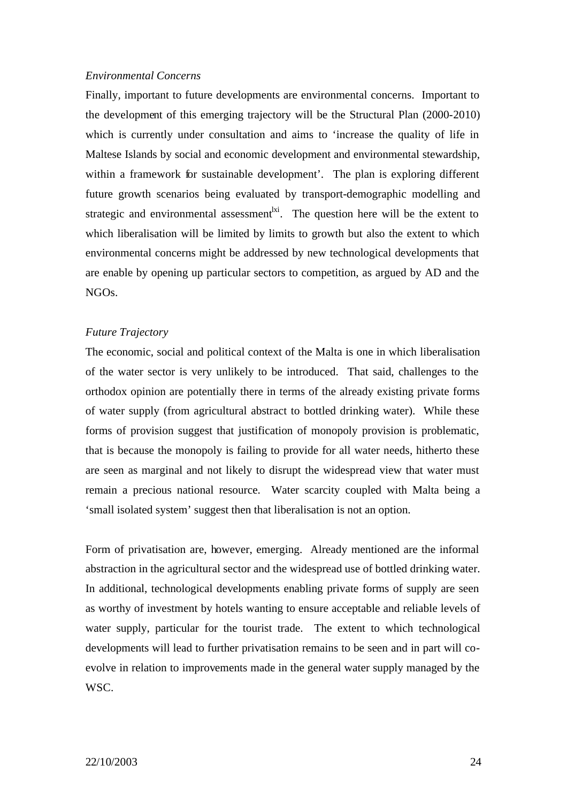### *Environmental Concerns*

Finally, important to future developments are environmental concerns. Important to the development of this emerging trajectory will be the Structural Plan (2000-2010) which is currently under consultation and aims to 'increase the quality of life in Maltese Islands by social and economic development and environmental stewardship, within a framework for sustainable development'. The plan is exploring different future growth scenarios being evaluated by transport-demographic modelling and strategic and environmental assessment<sup> $|x|$ </sup>. The question here will be the extent to which liberalisation will be limited by limits to growth but also the extent to which environmental concerns might be addressed by new technological developments that are enable by opening up particular sectors to competition, as argued by AD and the NGOs.

### *Future Trajectory*

The economic, social and political context of the Malta is one in which liberalisation of the water sector is very unlikely to be introduced. That said, challenges to the orthodox opinion are potentially there in terms of the already existing private forms of water supply (from agricultural abstract to bottled drinking water). While these forms of provision suggest that justification of monopoly provision is problematic, that is because the monopoly is failing to provide for all water needs, hitherto these are seen as marginal and not likely to disrupt the widespread view that water must remain a precious national resource. Water scarcity coupled with Malta being a 'small isolated system' suggest then that liberalisation is not an option.

Form of privatisation are, however, emerging. Already mentioned are the informal abstraction in the agricultural sector and the widespread use of bottled drinking water. In additional, technological developments enabling private forms of supply are seen as worthy of investment by hotels wanting to ensure acceptable and reliable levels of water supply, particular for the tourist trade. The extent to which technological developments will lead to further privatisation remains to be seen and in part will coevolve in relation to improvements made in the general water supply managed by the WSC.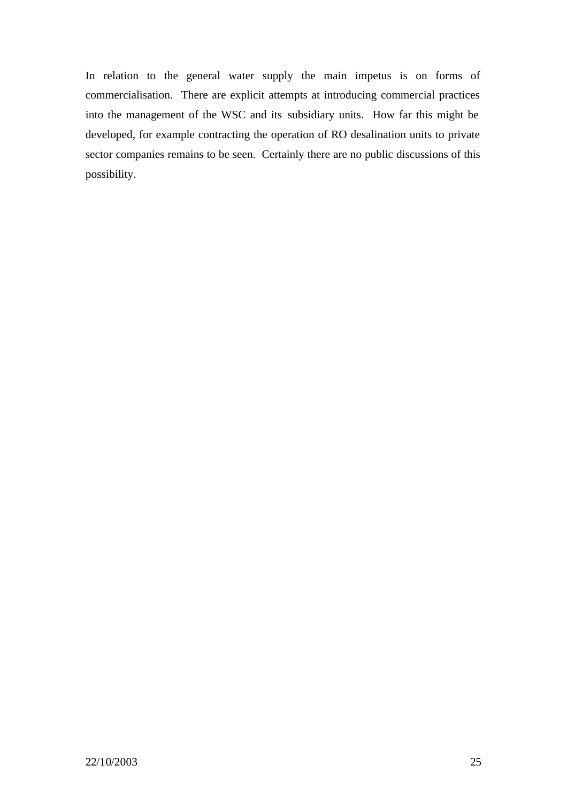In relation to the general water supply the main impetus is on forms of commercialisation. There are explicit attempts at introducing commercial practices into the management of the WSC and its subsidiary units. How far this might be developed, for example contracting the operation of RO desalination units to private sector companies remains to be seen. Certainly there are no public discussions of this possibility.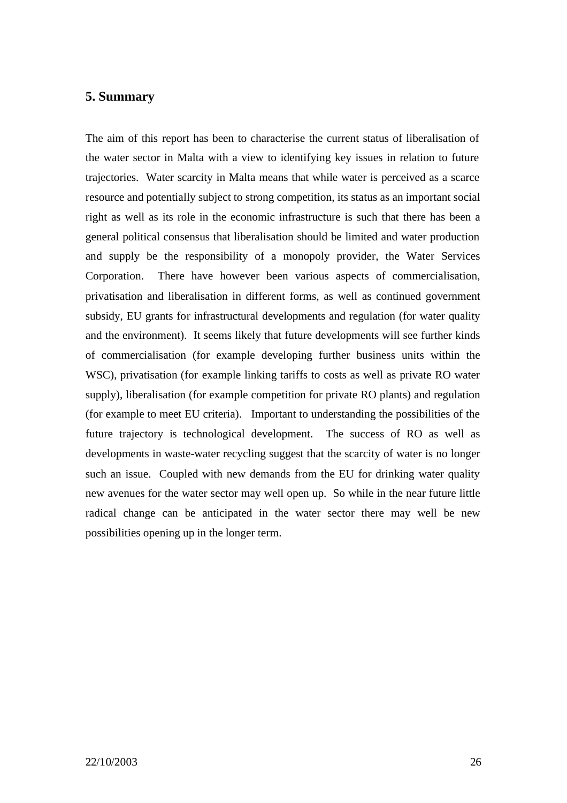### **5. Summary**

The aim of this report has been to characterise the current status of liberalisation of the water sector in Malta with a view to identifying key issues in relation to future trajectories. Water scarcity in Malta means that while water is perceived as a scarce resource and potentially subject to strong competition, its status as an important social right as well as its role in the economic infrastructure is such that there has been a general political consensus that liberalisation should be limited and water production and supply be the responsibility of a monopoly provider, the Water Services Corporation. There have however been various aspects of commercialisation, privatisation and liberalisation in different forms, as well as continued government subsidy, EU grants for infrastructural developments and regulation (for water quality and the environment). It seems likely that future developments will see further kinds of commercialisation (for example developing further business units within the WSC), privatisation (for example linking tariffs to costs as well as private RO water supply), liberalisation (for example competition for private RO plants) and regulation (for example to meet EU criteria). Important to understanding the possibilities of the future trajectory is technological development. The success of RO as well as developments in waste-water recycling suggest that the scarcity of water is no longer such an issue. Coupled with new demands from the EU for drinking water quality new avenues for the water sector may well open up. So while in the near future little radical change can be anticipated in the water sector there may well be new possibilities opening up in the longer term.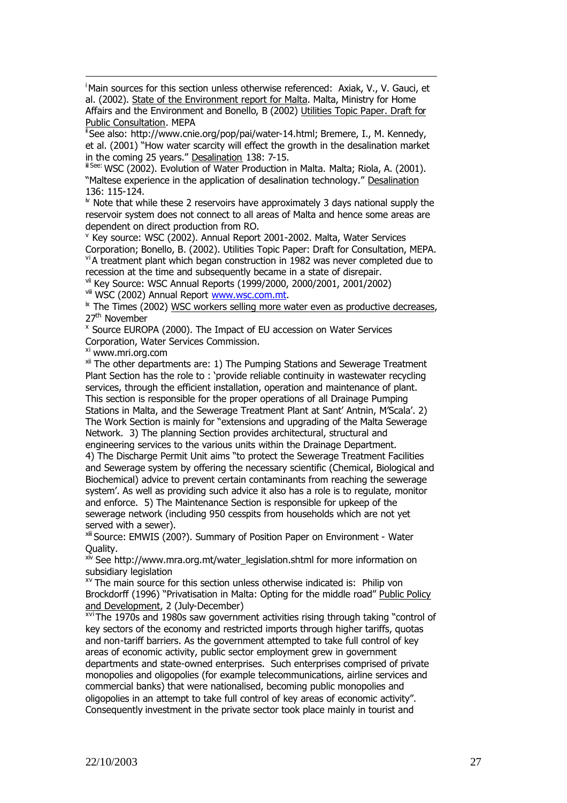<sup>i</sup>Main sources for this section unless otherwise referenced: Axiak, V., V. Gauci, et al. (2002). State of the Environment report for Malta. Malta, Ministry for Home Affairs and the Environment and Bonello, B (2002) Utilities Topic Paper. Draft for Public Consultation. MEPA

<sup>i</sup>See also: http://www.cnie.org/pop/pai/water-14.html; Bremere, I., M. Kennedy, et al. (2001) "How water scarcity will effect the growth in the desalination market in the coming 25 years." Desalination 138: 7-15.

ii See: WSC (2002). Evolution of Water Production in Malta. Malta; Riola, A. (2001). "Maltese experience in the application of desalination technology." Desalination 136: 115-124.

 $N$  Note that while these 2 reservoirs have approximately 3 days national supply the reservoir system does not connect to all areas of Malta and hence some areas are dependent on direct production from RO.

v Key source: WSC (2002). Annual Report 2001-2002. Malta, Water Services Corporation; Bonello, B. (2002). Utilities Topic Paper: Draft for Consultation, MEPA. viA treatment plant which began construction in 1982 was never completed due to recession at the time and subsequently became in a state of disrepair.

vii Key Source: WSC Annual Reports (1999/2000, 2000/2001, 2001/2002) viii WSC (2002) Annual Report www.wsc.com.mt.

 $*$  The Times (2002) WSC workers selling more water even as productive decreases. 27<sup>th</sup> November

x Source EUROPA (2000). The Impact of EU accession on Water Services Corporation, Water Services Commission.

xi www.mri.org.com

 $\overline{a}$ 

xii The other departments are: 1) The Pumping Stations and Sewerage Treatment Plant Section has the role to : 'provide reliable continuity in wastewater recycling services, through the efficient installation, operation and maintenance of plant. This section is responsible for the proper operations of all Drainage Pumping Stations in Malta, and the Sewerage Treatment Plant at Sant' Antnin, M'Scala'. 2) The Work Section is mainly for "extensions and upgrading of the Malta Sewerage Network. 3) The planning Section provides architectural, structural and engineering services to the various units within the Drainage Department. 4) The Discharge Permit Unit aims "to protect the Sewerage Treatment Facilities and Sewerage system by offering the necessary scientific (Chemical, Biological and Biochemical) advice to prevent certain contaminants from reaching the sewerage

system'. As well as providing such advice it also has a role is to regulate, monitor and enforce. 5) The Maintenance Section is responsible for upkeep of the sewerage network (including 950 cesspits from households which are not yet served with a sewer).

xiii Source: EMWIS (200?). Summary of Position Paper on Environment - Water Quality.

xiv See http://www.mra.org.mt/water\_legislation.shtml for more information on subsidiary legislation

<sup>xv</sup> The main source for this section unless otherwise indicated is: Philip von Brockdorff (1996) "Privatisation in Malta: Opting for the middle road" Public Policy and Development, 2 (July-December)

xviThe 1970s and 1980s saw government activities rising through taking "control of key sectors of the economy and restricted imports through higher tariffs, quotas and non-tariff barriers. As the government attempted to take full control of key areas of economic activity, public sector employment grew in government departments and state-owned enterprises. Such enterprises comprised of private monopolies and oligopolies (for example telecommunications, airline services and commercial banks) that were nationalised, becoming public monopolies and oligopolies in an attempt to take full control of key areas of economic activity". Consequently investment in the private sector took place mainly in tourist and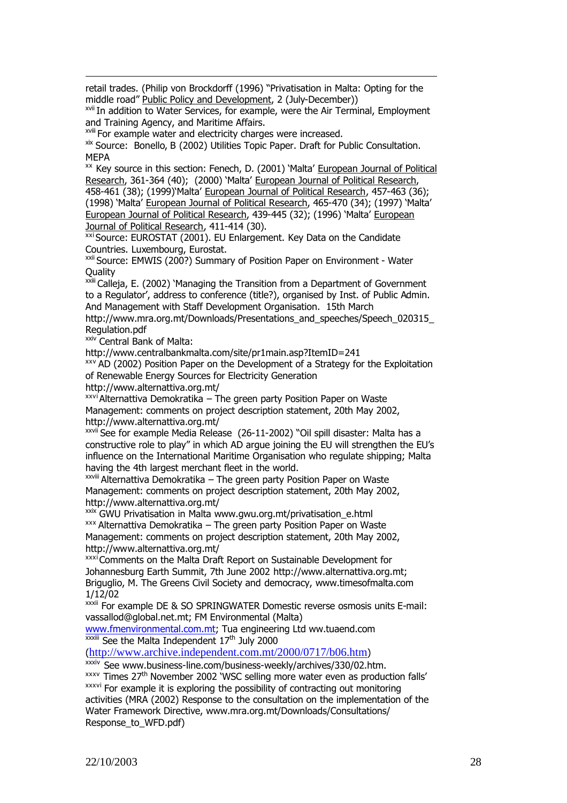retail trades. (Philip von Brockdorff (1996) "Privatisation in Malta: Opting for the middle road" Public Policy and Development, 2 (July-December))

xvii In addition to Water Services, for example, were the Air Terminal, Employment and Training Agency, and Maritime Affairs.

xviii For example water and electricity charges were increased.

xix Source: Bonello, B (2002) Utilities Topic Paper. Draft for Public Consultation. MEPA

xx Key source in this section: Fenech, D. (2001) 'Malta' European Journal of Political Research, 361-364 (40); (2000) 'Malta' European Journal of Political Research, 458-461 (38); (1999)'Malta' European Journal of Political Research, 457-463 (36); (1998) 'Malta' European Journal of Political Research, 465-470 (34); (1997) 'Malta' European Journal of Political Research, 439-445 (32); (1996) 'Malta' European Journal of Political Research, 411-414 (30).

 $\overline{x}$ xi Source: EUROSTAT (2001). EU Enlargement. Key Data on the Candidate Countries. Luxembourg, Eurostat.

xxii Source: EMWIS (200?) Summary of Position Paper on Environment - Water **Quality** 

xxiii Calleja, E. (2002) 'Managing the Transition from a Department of Government to a Regulator', address to conference (title?), organised by Inst. of Public Admin. And Management with Staff Development Organisation. 15th March

http://www.mra.org.mt/Downloads/Presentations\_and\_speeches/Speech\_020315 Regulation.pdf

**xxiv** Central Bank of Malta:

 $\overline{a}$ 

http://www.centralbankmalta.com/site/pr1main.asp?ItemID=241

xxv AD (2002) Position Paper on the Development of a Strategy for the Exploitation of Renewable Energy Sources for Electricity Generation

http://www.alternattiva.org.mt/

xxvi Alternattiva Demokratika – The green party Position Paper on Waste Management: comments on project description statement, 20th May 2002, http://www.alternattiva.org.mt/

xxvii See for example Media Release (26-11-2002) "Oil spill disaster: Malta has a constructive role to play" in which AD argue joining the EU will strengthen the EU's influence on the International Maritime Organisation who regulate shipping; Malta having the 4th largest merchant fleet in the world.

xxviii Alternattiva Demokratika – The green party Position Paper on Waste Management: comments on project description statement, 20th May 2002, http://www.alternattiva.org.mt/

xxix GWU Privatisation in Malta www.gwu.org.mt/privatisation\_e.html xxx Alternattiva Demokratika – The green party Position Paper on Waste Management: comments on project description statement, 20th May 2002, http://www.alternattiva.org.mt/

xxxiComments on the Malta Draft Report on Sustainable Development for Johannesburg Earth Summit, 7th June 2002 http://www.alternattiva.org.mt; Briguglio, M. The Greens Civil Society and democracy, www.timesofmalta.com 1/12/02

xxxii For example DE & SO SPRINGWATER Domestic reverse osmosis units E-mail: vassallod@global.net.mt; FM Environmental (Malta)

www.fmenvironmental.com.mt; Tua engineering Ltd ww.tuaend.com <sup>xxxiii</sup> See the Malta Independent 17<sup>th</sup> July 2000

(http://www.archive.independent.com.mt/2000/0717/b06.htm)

xxxiv See www.business-line.com/business-weekly/archives/330/02.htm.  $x$ <sup>xxxv</sup> Times 27<sup>th</sup> November 2002 'WSC selling more water even as production falls' xxxvi For example it is exploring the possibility of contracting out monitoring activities (MRA (2002) Response to the consultation on the implementation of the Water Framework Directive, www.mra.org.mt/Downloads/Consultations/ Response\_to\_WFD.pdf)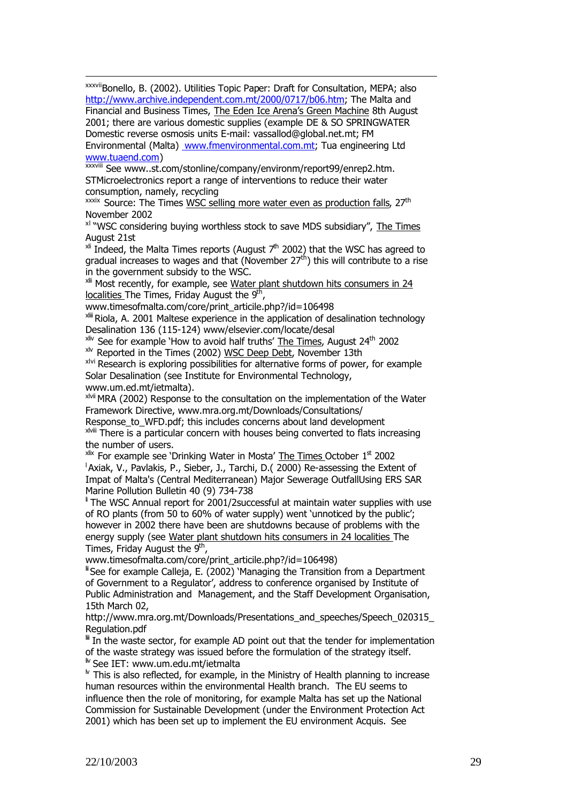xxxviiBonello, B. (2002). Utilities Topic Paper: Draft for Consultation, MEPA; also http://www.archive.independent.com.mt/2000/0717/b06.htm; The Malta and Financial and Business Times, The Eden Ice Arena's Green Machine 8th August 2001; there are various domestic supplies (example DE & SO SPRINGWATER Domestic reverse osmosis units E-mail: vassallod@global.net.mt; FM Environmental (Malta) www.fmenvironmental.com.mt; Tua engineering Ltd

#### www.tuaend.com)

 $\overline{a}$ 

xxxviii See www..st.com/stonline/company/environm/report99/enrep2.htm. STMicroelectronics report a range of interventions to reduce their water consumption, namely, recycling

 $x$ <sup>xxxix</sup> Source: The Times WSC selling more water even as production falls,  $27<sup>th</sup>$ November 2002

xl "WSC considering buying worthless stock to save MDS subsidiary", The Times August 21st

 $x$ <sup>ii</sup> Indeed, the Malta Times reports (August  $7<sup>th</sup>$  2002) that the WSC has agreed to gradual increases to wages and that (November  $27<sup>th</sup>$ ) this will contribute to a rise in the government subsidy to the WSC.

 $x$ <sup>lii</sup> Most recently, for example, see Water plant shutdown hits consumers in 24 localities The Times, Friday August the 9<sup>th</sup>,

www.timesofmalta.com/core/print\_articile.php?/id=106498

x<sup>iii</sup> Riola, A. 2001 Maltese experience in the application of desalination technology Desalination 136 (115-124) www/elsevier.com/locate/desal

 $x$ liv See for example 'How to avoid half truths' The Times, August 24<sup>th</sup> 2002

xlv Reported in the Times (2002) WSC Deep Debt, November 13th

xlvi Research is exploring possibilities for alternative forms of power, for example Solar Desalination (see Institute for Environmental Technology, www.um.ed.mt/ietmalta).

xlvii MRA (2002) Response to the consultation on the implementation of the Water Framework Directive, www.mra.org.mt/Downloads/Consultations/

Response\_to\_WFD.pdf; this includes concerns about land development  $x$ <sup>Nviii</sup> There is a particular concern with houses being converted to flats increasing the number of users.

 $x$ <sup>lix</sup> For example see 'Drinking Water in Mosta' The Times October  $1<sup>st</sup>$  2002 <sup>1</sup>Axiak, V., Pavlakis, P., Sieber, J., Tarchi, D. (2000) Re-assessing the Extent of Impat of Malta's (Central Mediterranean) Major Sewerage OutfallUsing ERS SAR Marine Pollution Bulletin 40 (9) 734-738

 $\,$  The WSC Annual report for 2001/2successful at maintain water supplies with use of RO plants (from 50 to 60% of water supply) went 'unnoticed by the public'; however in 2002 there have been are shutdowns because of problems with the energy supply (see Water plant shutdown hits consumers in 24 localities The Times, Friday August the 9<sup>th</sup>,

www.timesofmalta.com/core/print\_articile.php?/id=106498)

li See for example Calleja, E. (2002) 'Managing the Transition from a Department of Government to a Regulator', address to conference organised by Institute of Public Administration and Management, and the Staff Development Organisation, 15th March 02,

http://www.mra.org.mt/Downloads/Presentations\_and\_speeches/Speech\_020315 Regulation.pdf

 $\mathbb{I}$  In the waste sector, for example AD point out that the tender for implementation of the waste strategy was issued before the formulation of the strategy itself. liv See IET: www.um.edu.mt/ietmalta

 $\mu$  This is also reflected, for example, in the Ministry of Health planning to increase human resources within the environmental Health branch. The EU seems to influence then the role of monitoring, for example Malta has set up the National Commission for Sustainable Development (under the Environment Protection Act 2001) which has been set up to implement the EU environment Acquis. See